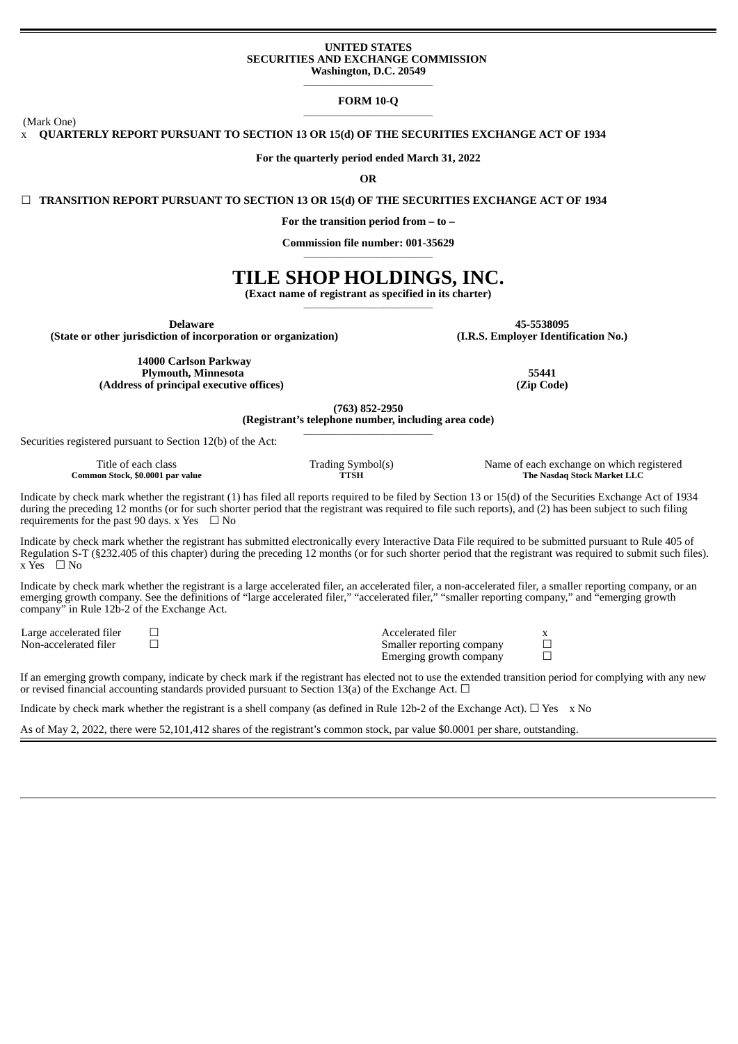#### **UNITED STATES SECURITIES AND EXCHANGE COMMISSION Washington, D.C. 20549**

 $\frac{1}{2}$  ,  $\frac{1}{2}$  ,  $\frac{1}{2}$  ,  $\frac{1}{2}$  ,  $\frac{1}{2}$  ,  $\frac{1}{2}$  ,  $\frac{1}{2}$  ,  $\frac{1}{2}$  ,  $\frac{1}{2}$  ,  $\frac{1}{2}$  ,  $\frac{1}{2}$  ,  $\frac{1}{2}$  ,  $\frac{1}{2}$  ,  $\frac{1}{2}$  ,  $\frac{1}{2}$  ,  $\frac{1}{2}$  ,  $\frac{1}{2}$  ,  $\frac{1}{2}$  ,  $\frac{1$ 

#### **FORM 10-Q** \_\_\_\_\_\_\_\_\_\_\_\_\_\_\_\_\_\_\_\_\_\_\_\_\_\_\_\_\_

(Mark One)

x **QUARTERLY REPORT PURSUANT TO SECTION 13 OR 15(d) OF THE SECURITIES EXCHANGE ACT OF 1934**

#### **For the quarterly period ended March 31, 2022**

**OR**

☐ **TRANSITION REPORT PURSUANT TO SECTION 13 OR 15(d) OF THE SECURITIES EXCHANGE ACT OF 1934**

**For the transition period from – to –**

**Commission file number: 001-35629**  $\frac{1}{2}$  ,  $\frac{1}{2}$  ,  $\frac{1}{2}$  ,  $\frac{1}{2}$  ,  $\frac{1}{2}$  ,  $\frac{1}{2}$  ,  $\frac{1}{2}$  ,  $\frac{1}{2}$  ,  $\frac{1}{2}$  ,  $\frac{1}{2}$  ,  $\frac{1}{2}$  ,  $\frac{1}{2}$  ,  $\frac{1}{2}$  ,  $\frac{1}{2}$  ,  $\frac{1}{2}$  ,  $\frac{1}{2}$  ,  $\frac{1}{2}$  ,  $\frac{1}{2}$  ,  $\frac{1$ 

# **TILE SHOP HOLDINGS, INC.**

**(Exact name of registrant as specified in its charter)**  $\frac{1}{2}$  ,  $\frac{1}{2}$  ,  $\frac{1}{2}$  ,  $\frac{1}{2}$  ,  $\frac{1}{2}$  ,  $\frac{1}{2}$  ,  $\frac{1}{2}$  ,  $\frac{1}{2}$  ,  $\frac{1}{2}$  ,  $\frac{1}{2}$  ,  $\frac{1}{2}$  ,  $\frac{1}{2}$  ,  $\frac{1}{2}$  ,  $\frac{1}{2}$  ,  $\frac{1}{2}$  ,  $\frac{1}{2}$  ,  $\frac{1}{2}$  ,  $\frac{1}{2}$  ,  $\frac{1$ 

**Delaware 45-5538095 (State or other jurisdiction of incorporation or organization) (I.R.S. Employer Identification No.)**

**14000 Carlson Parkway Plymouth, Minnesota 55441 (Address of principal executive offices) (Zip Code)**

**(763) 852-2950**

**(Registrant's telephone number, including area code)** \_\_\_\_\_\_\_\_\_\_\_\_\_\_\_\_\_\_\_\_\_\_\_\_\_\_\_\_\_

Securities registered pursuant to Section 12(b) of the Act:

 **par value** 

Title of each class Trading Symbol(s) Name of each exchange on which registered<br>TTSH TISH TRE Nasdaq Stock Market LLC

Indicate by check mark whether the registrant (1) has filed all reports required to be filed by Section 13 or 15(d) of the Securities Exchange Act of 1934 during the preceding 12 months (or for such shorter period that the registrant was required to file such reports), and (2) has been subject to such filing requirements for the past 90 days. x Yes  $\Box$  No

Indicate by check mark whether the registrant has submitted electronically every Interactive Data File required to be submitted pursuant to Rule 405 of Regulation S-T (§232.405 of this chapter) during the preceding 12 months (or for such shorter period that the registrant was required to submit such files).  $x \overline{Y}$ es  $\Box$  No

Indicate by check mark whether the registrant is a large accelerated filer, an accelerated filer, a non-accelerated filer, a smaller reporting company, or an emerging growth company. See the definitions of "large accelerated filer," "accelerated filer," "smaller reporting company," and "emerging growth company" in Rule 12b-2 of the Exchange Act.

 $\begin{array}{ccc}\n\text{Large accelerated filter} & \quad \Box & \quad \text{Area} \\
\text{Non-accelerated filter} & \quad \Box & \quad \text{Area} \\
\text{Non-accelerated filter} & \quad \Box & \quad \text{Area} \\
\end{array}$ Smaller reporting company  $□$ <br>Fineraing growth company Emerging growth company

If an emerging growth company, indicate by check mark if the registrant has elected not to use the extended transition period for complying with any new or revised financial accounting standards provided pursuant to Section 13(a) of the Exchange Act.  $\Box$ 

Indicate by check mark whether the registrant is a shell company (as defined in Rule 12b-2 of the Exchange Act).  $\Box$  Yes  $x$  No

As of May 2, 2022, there were 52,101,412 shares of the registrant's common stock, par value \$0.0001 per share, outstanding.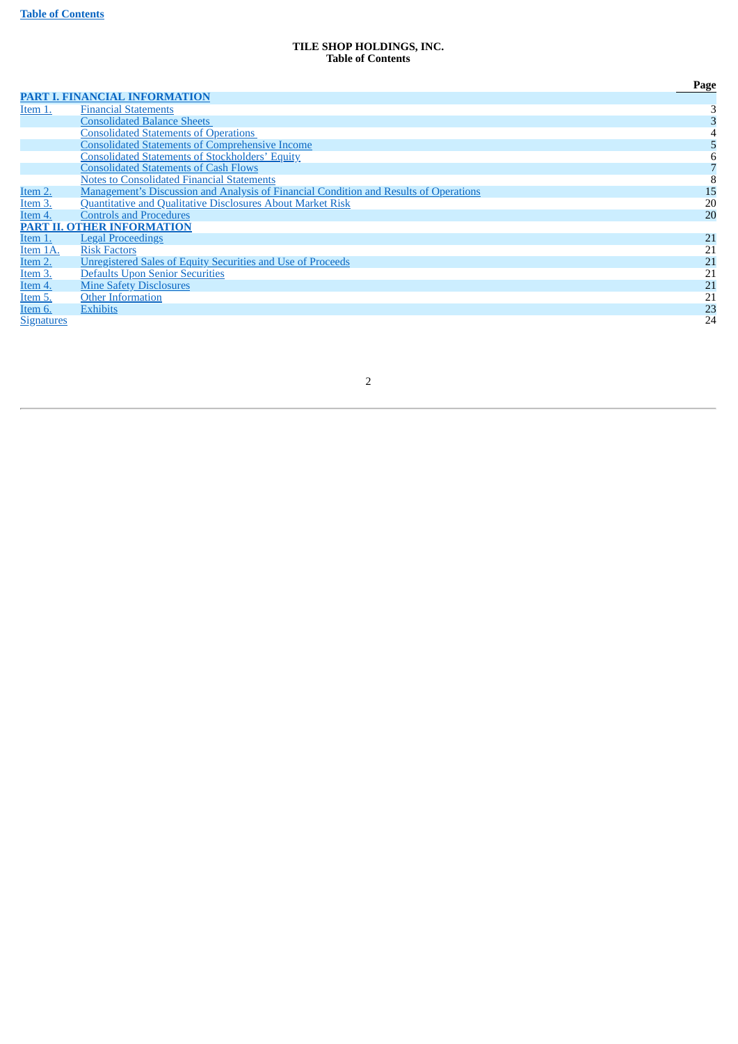### <span id="page-1-0"></span>**TILE SHOP HOLDINGS, INC. Table of Contents**

|                   |                                                                                              | Page |
|-------------------|----------------------------------------------------------------------------------------------|------|
|                   | <b>PART I. FINANCIAL INFORMATION</b>                                                         |      |
| Item 1.           | <b>Financial Statements</b>                                                                  |      |
|                   | <b>Consolidated Balance Sheets</b>                                                           |      |
|                   | <b>Consolidated Statements of Operations</b>                                                 |      |
|                   | <b>Consolidated Statements of Comprehensive Income</b>                                       |      |
|                   | <b>Consolidated Statements of Stockholders' Equity</b>                                       |      |
|                   | <b>Consolidated Statements of Cash Flows</b>                                                 |      |
|                   | <b>Notes to Consolidated Financial Statements</b>                                            |      |
| <u>Item 2.</u>    | <b>Management's Discussion and Analysis of Financial Condition and Results of Operations</b> | 15   |
| Item 3.           | <b>Quantitative and Qualitative Disclosures About Market Risk</b>                            | 20   |
| Item 4.           | <b>Controls and Procedures</b>                                                               | 20   |
|                   | <b>PART II. OTHER INFORMATION</b>                                                            |      |
| Item 1.           | <b>Legal Proceedings</b>                                                                     | 21   |
| Item 1A.          | <b>Risk Factors</b>                                                                          | 21   |
| <u>Item 2.</u>    | <b>Unregistered Sales of Equity Securities and Use of Proceeds</b>                           | 21   |
| Item 3.           | <b>Defaults Upon Senior Securities</b>                                                       | 21   |
| Item 4.           | <b>Mine Safety Disclosures</b>                                                               | 21   |
| Item 5.           | <b>Other Information</b>                                                                     | 21   |
| Item 6.           | <b>Exhibits</b>                                                                              | 23   |
| <b>Signatures</b> |                                                                                              | 24   |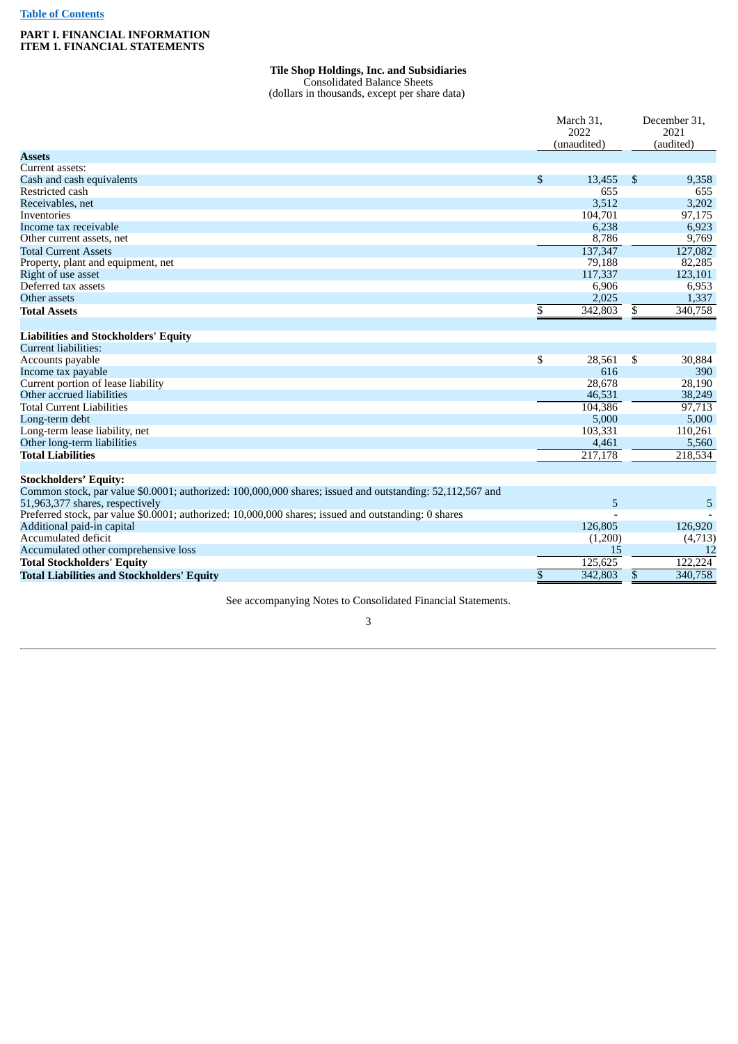### <span id="page-2-1"></span><span id="page-2-0"></span>**PART I. FINANCIAL INFORMATION ITEM 1. FINANCIAL STATEMENTS**

#### <span id="page-2-2"></span>**Tile Shop Holdings, Inc. and Subsidiaries** Consolidated Balance Sheets (dollars in thousands, except per share data)

| <b>Assets</b>                                                                                            |                 | March 31,<br>2022<br>(unaudited) | December 31,<br>2021<br>(audited) |
|----------------------------------------------------------------------------------------------------------|-----------------|----------------------------------|-----------------------------------|
| Current assets:                                                                                          |                 |                                  |                                   |
| Cash and cash equivalents                                                                                | $\mathfrak{S}$  | 13.455                           | \$<br>9.358                       |
| Restricted cash                                                                                          |                 | 655                              | 655                               |
| Receivables, net                                                                                         |                 | 3,512                            | 3,202                             |
| Inventories                                                                                              |                 | 104,701                          | 97,175                            |
| Income tax receivable                                                                                    |                 | 6,238                            | 6,923                             |
| Other current assets, net                                                                                |                 | 8,786                            | 9,769                             |
| <b>Total Current Assets</b>                                                                              |                 | 137,347                          | 127,082                           |
| Property, plant and equipment, net                                                                       |                 | 79,188                           | 82,285                            |
| Right of use asset                                                                                       |                 | 117,337                          | 123,101                           |
| Deferred tax assets                                                                                      |                 | 6,906                            | 6,953                             |
| Other assets                                                                                             |                 | 2,025                            | 1,337                             |
| <b>Total Assets</b>                                                                                      | \$              | 342,803                          | \$<br>340,758                     |
|                                                                                                          |                 |                                  |                                   |
|                                                                                                          |                 |                                  |                                   |
| <b>Liabilities and Stockholders' Equity</b><br>Current liabilities:                                      |                 |                                  |                                   |
| Accounts payable                                                                                         | \$              | 28,561                           | \$<br>30,884                      |
| Income tax payable                                                                                       |                 | 616                              | 390                               |
| Current portion of lease liability                                                                       |                 | 28,678                           | 28,190                            |
| Other accrued liabilities                                                                                |                 | 46,531                           | 38,249                            |
| <b>Total Current Liabilities</b>                                                                         |                 | 104, 386                         | 97,713                            |
| Long-term debt                                                                                           |                 | 5,000                            | 5,000                             |
| Long-term lease liability, net                                                                           |                 | 103,331                          | 110,261                           |
| Other long-term liabilities                                                                              |                 | 4,461                            | 5,560                             |
| <b>Total Liabilities</b>                                                                                 |                 | 217,178                          | 218,534                           |
|                                                                                                          |                 |                                  |                                   |
| <b>Stockholders' Equity:</b>                                                                             |                 |                                  |                                   |
| Common stock, par value \$0.0001; authorized: 100,000,000 shares; issued and outstanding: 52,112,567 and |                 |                                  |                                   |
| 51,963,377 shares, respectively                                                                          |                 | 5                                | 5                                 |
| Preferred stock, par value \$0.0001; authorized: 10,000,000 shares; issued and outstanding: 0 shares     |                 |                                  |                                   |
| Additional paid-in capital                                                                               |                 | 126,805                          | 126,920                           |
| Accumulated deficit                                                                                      |                 | (1,200)                          | (4,713)                           |
| Accumulated other comprehensive loss                                                                     |                 | 15                               | 12                                |
| <b>Total Stockholders' Equity</b>                                                                        |                 | 125.625                          | 122.224                           |
| <b>Total Liabilities and Stockholders' Equity</b>                                                        | $\overline{\$}$ | 342,803                          | \$<br>340,758                     |
|                                                                                                          |                 |                                  |                                   |

See accompanying Notes to Consolidated Financial Statements.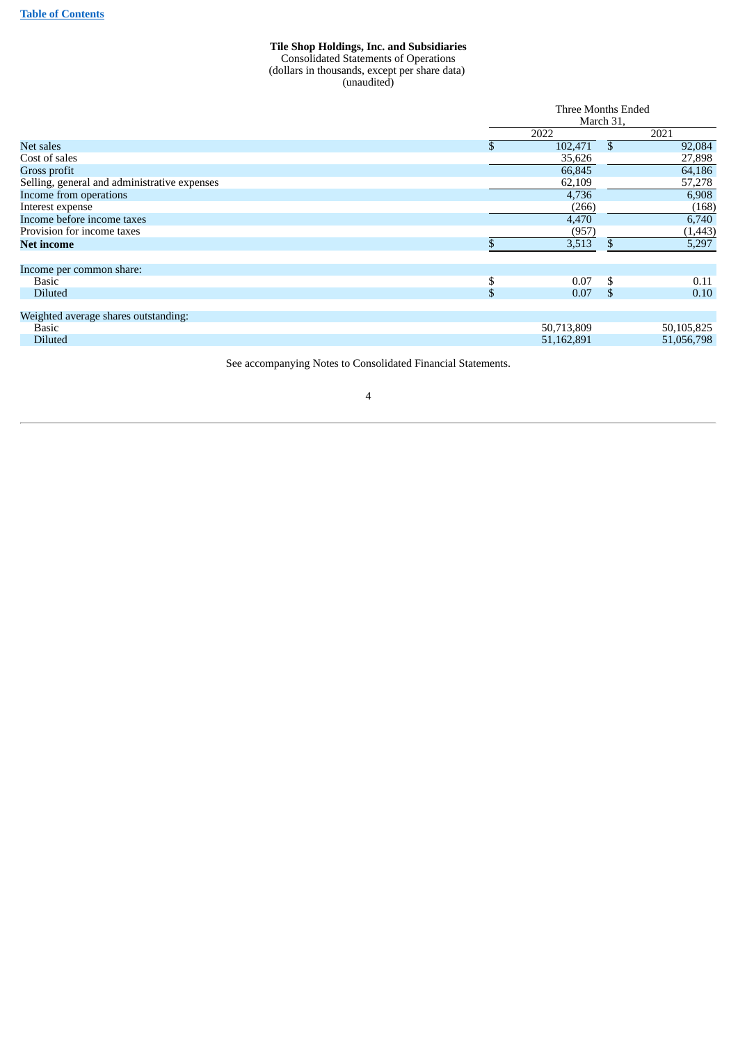#### <span id="page-3-0"></span>**Tile Shop Holdings, Inc. and Subsidiaries** Consolidated Statements of Operations (dollars in thousands, except per share data) (unaudited)

|                                              |             | Three Months Ended<br>March 31, |               |            |  |
|----------------------------------------------|-------------|---------------------------------|---------------|------------|--|
|                                              |             | 2022                            |               |            |  |
| Net sales                                    |             | 102,471                         | $\mathbb{S}$  | 92,084     |  |
| Cost of sales                                |             | 35,626                          |               | 27,898     |  |
| Gross profit                                 |             | 66,845                          |               | 64,186     |  |
| Selling, general and administrative expenses |             | 62,109                          |               | 57,278     |  |
| Income from operations                       |             | 4,736                           |               | 6,908      |  |
| Interest expense                             |             | (266)                           |               | (168)      |  |
| Income before income taxes                   |             | 4,470                           |               | 6,740      |  |
| Provision for income taxes                   |             | (957)                           |               | (1, 443)   |  |
| <b>Net income</b>                            |             | 3,513                           |               | 5,297      |  |
| Income per common share:                     |             |                                 |               |            |  |
| Basic                                        | \$          | 0.07                            | \$            | 0.11       |  |
| Diluted                                      | $\mathbf S$ | 0.07                            | <sup>\$</sup> | 0.10       |  |
| Weighted average shares outstanding:         |             |                                 |               |            |  |
| Basic                                        |             | 50,713,809                      |               | 50,105,825 |  |
| <b>Diluted</b>                               |             | 51,162,891                      |               | 51,056,798 |  |

See accompanying Notes to Consolidated Financial Statements.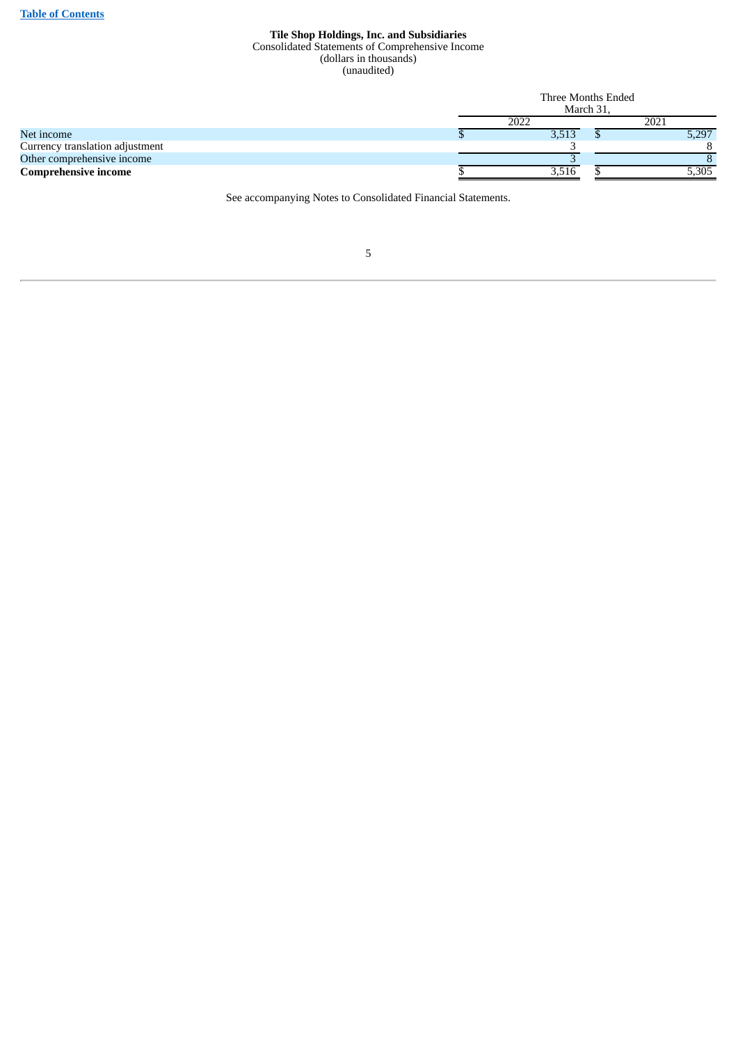### <span id="page-4-0"></span>**Tile Shop Holdings, Inc. and Subsidiaries** Consolidated Statements of Comprehensive Income (dollars in thousands) (unaudited)

<span id="page-4-1"></span>

|                                 | Three Months Ended | March 31. |       |
|---------------------------------|--------------------|-----------|-------|
|                                 | 2022               |           | 2021  |
| Net income                      | 3,513              |           | 5,297 |
| Currency translation adjustment |                    |           |       |
| Other comprehensive income      |                    |           |       |
| <b>Comprehensive income</b>     | 3,516              |           | 5,305 |
|                                 |                    |           |       |

See accompanying Notes to Consolidated Financial Statements.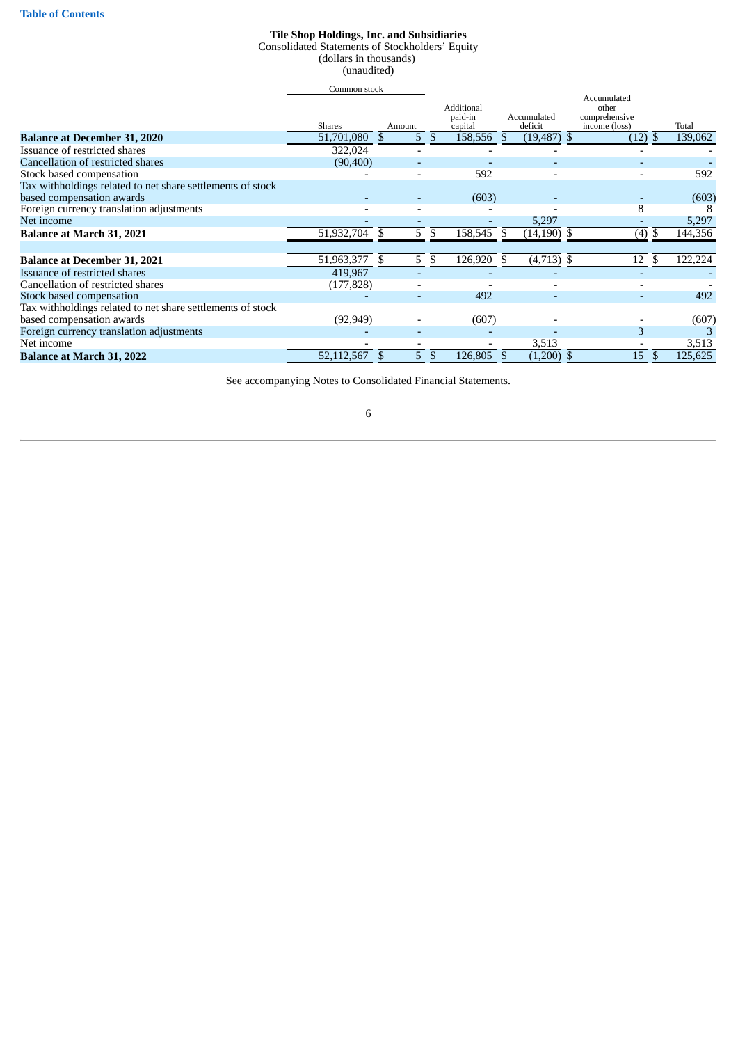## **Tile Shop Holdings, Inc. and Subsidiaries**

Consolidated Statements of Stockholders' Equity

(dollars in thousands) (unaudited)

Common stock

|                                                            |            |                |               | Additional         |                        | Accumulated<br>other           |    |         |
|------------------------------------------------------------|------------|----------------|---------------|--------------------|------------------------|--------------------------------|----|---------|
|                                                            | Shares     | Amount         |               | paid-in<br>capital | Accumulated<br>deficit | comprehensive<br>income (loss) |    | Total   |
| <b>Balance at December 31, 2020</b>                        | 51,701,080 | 5              | <sup>\$</sup> | 158,556 \$         | $(19, 487)$ \$         | (12)                           | -8 | 139,062 |
| Issuance of restricted shares                              | 322,024    |                |               |                    |                        |                                |    |         |
| Cancellation of restricted shares                          | (90, 400)  |                |               |                    |                        |                                |    |         |
| Stock based compensation                                   |            |                |               | 592                |                        |                                |    | 592     |
| Tax withholdings related to net share settlements of stock |            |                |               |                    |                        |                                |    |         |
| based compensation awards                                  |            |                |               | (603)              |                        |                                |    | (603)   |
| Foreign currency translation adjustments                   |            |                |               |                    |                        | 8                              |    |         |
| Net income                                                 |            |                |               |                    | 5,297                  |                                |    | 5,297   |
| <b>Balance at March 31, 2021</b>                           | 51,932,704 | 5              | \$            | 158,545            | $(14, 190)$ \$         | (4)                            | -S | 144,356 |
|                                                            |            |                |               |                    |                        |                                |    |         |
| <b>Balance at December 31, 2021</b>                        | 51,963,377 | 5              | \$            | 126,920            | $(4,713)$ \$           | 12                             |    | 122,224 |
| Issuance of restricted shares                              | 419,967    |                |               |                    |                        |                                |    |         |
| Cancellation of restricted shares                          | (177, 828) |                |               |                    |                        |                                |    |         |
| Stock based compensation                                   |            |                |               | 492                |                        |                                |    | 492     |
| Tax withholdings related to net share settlements of stock |            |                |               |                    |                        |                                |    |         |
| based compensation awards                                  | (92, 949)  |                |               | (607)              |                        |                                |    | (607)   |
| Foreign currency translation adjustments                   |            |                |               |                    |                        | 3                              |    |         |
| Net income                                                 |            |                |               |                    | 3,513                  |                                |    | 3,513   |
| <b>Balance at March 31, 2022</b>                           | 52,112,567 | 5 <sup>1</sup> | \$            | 126,805            | $(1,200)$ \$           | 15                             |    | 125,625 |

See accompanying Notes to Consolidated Financial Statements.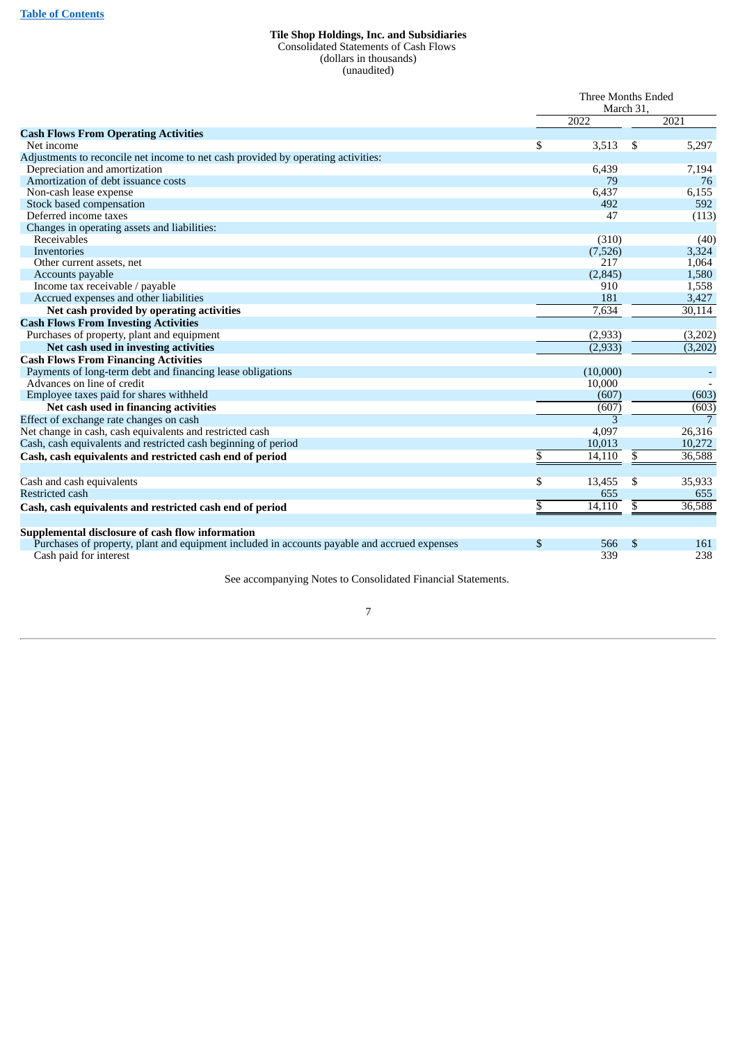#### <span id="page-6-0"></span>**Tile Shop Holdings, Inc. and Subsidiaries** Consolidated Statements of Cash Flows

(dollars in thousands)

(unaudited)

|                                                                                              | <b>Three Months Ended</b><br>March 31. |          |    |                 |
|----------------------------------------------------------------------------------------------|----------------------------------------|----------|----|-----------------|
|                                                                                              |                                        | 2022     |    | 2021            |
| <b>Cash Flows From Operating Activities</b>                                                  |                                        |          |    |                 |
| Net income                                                                                   | \$                                     | 3,513    | S  | 5,297           |
| Adjustments to reconcile net income to net cash provided by operating activities:            |                                        |          |    |                 |
| Depreciation and amortization                                                                |                                        | 6,439    |    | 7,194           |
| Amortization of debt issuance costs                                                          |                                        | 79       |    | 76              |
| Non-cash lease expense                                                                       |                                        | 6,437    |    | 6,155           |
| Stock based compensation                                                                     |                                        | 492      |    | 592             |
| Deferred income taxes                                                                        |                                        | 47       |    | (113)           |
| Changes in operating assets and liabilities:                                                 |                                        |          |    |                 |
| Receivables                                                                                  |                                        | (310)    |    | (40)            |
| Inventories                                                                                  |                                        | (7,526)  |    | 3,324           |
| Other current assets, net                                                                    |                                        | 217      |    | 1,064           |
| Accounts payable                                                                             |                                        | (2, 845) |    | 1,580           |
| Income tax receivable / payable                                                              |                                        | 910      |    | 1,558           |
| Accrued expenses and other liabilities                                                       |                                        | 181      |    | 3,427           |
| Net cash provided by operating activities                                                    |                                        | 7.634    |    | 30,114          |
| <b>Cash Flows From Investing Activities</b>                                                  |                                        |          |    |                 |
| Purchases of property, plant and equipment                                                   |                                        | (2,933)  |    | (3,202)         |
| Net cash used in investing activities                                                        |                                        | (2, 933) |    | (3,202)         |
| <b>Cash Flows From Financing Activities</b>                                                  |                                        |          |    |                 |
| Payments of long-term debt and financing lease obligations                                   |                                        | (10,000) |    |                 |
| Advances on line of credit                                                                   |                                        | 10,000   |    |                 |
| Employee taxes paid for shares withheld                                                      |                                        | (607)    |    | (603)           |
| Net cash used in financing activities                                                        |                                        | (607)    |    | (603)           |
| Effect of exchange rate changes on cash                                                      |                                        | 3        |    | $7\overline{ }$ |
| Net change in cash, cash equivalents and restricted cash                                     |                                        | 4,097    |    | 26,316          |
| Cash, cash equivalents and restricted cash beginning of period                               |                                        | 10,013   |    | 10,272          |
| Cash, cash equivalents and restricted cash end of period                                     | \$                                     | 14,110   | \$ | 36,588          |
|                                                                                              |                                        |          |    |                 |
| Cash and cash equivalents                                                                    | \$                                     | 13,455   | \$ | 35,933          |
| Restricted cash                                                                              |                                        | 655      |    | 655             |
| Cash, cash equivalents and restricted cash end of period                                     | \$                                     | 14,110   | \$ | 36,588          |
| Supplemental disclosure of cash flow information                                             |                                        |          |    |                 |
| Purchases of property, plant and equipment included in accounts payable and accrued expenses | \$                                     | 566      | \$ | 161             |
| Cash paid for interest                                                                       |                                        | 339      |    | 238             |
|                                                                                              |                                        |          |    |                 |

See accompanying Notes to Consolidated Financial Statements.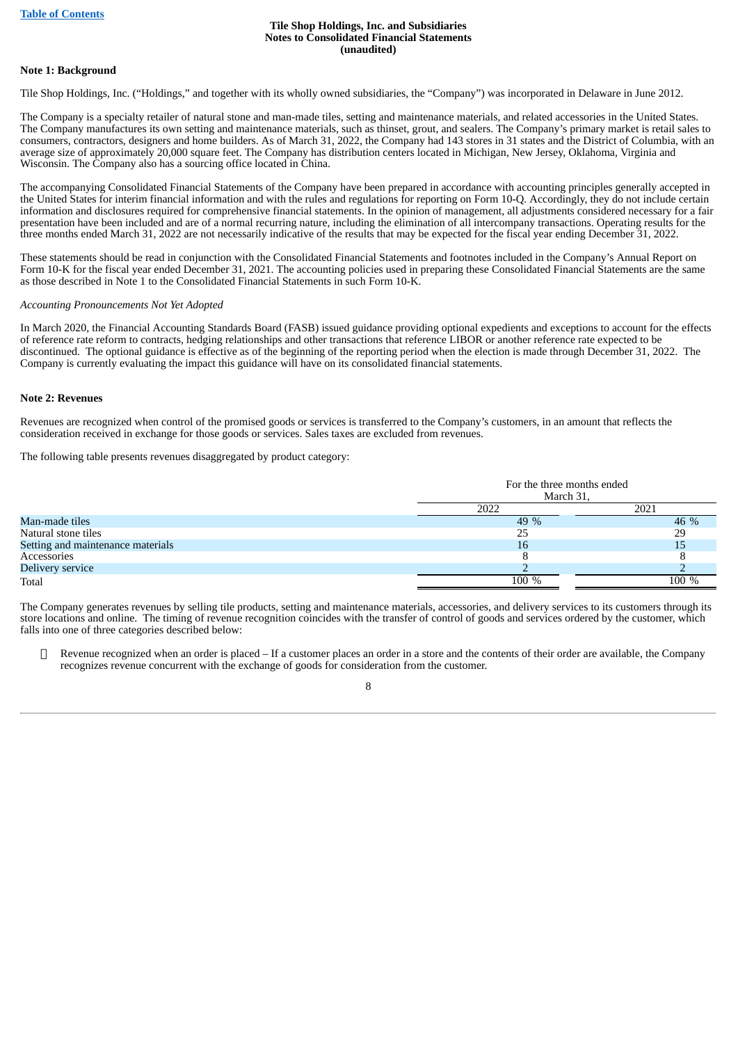## <span id="page-7-0"></span>**Note 1: Background**

Tile Shop Holdings, Inc. ("Holdings," and together with its wholly owned subsidiaries, the "Company") was incorporated in Delaware in June 2012.

The Company is a specialty retailer of natural stone and man-made tiles, setting and maintenance materials, and related accessories in the United States. The Company manufactures its own setting and maintenance materials, such as thinset, grout, and sealers. The Company's primary market is retail sales to consumers, contractors, designers and home builders. As of March 31, 2022, the Company had 143 stores in 31 states and the District of Columbia, with an average size of approximately 20,000 square feet. The Company has distribution centers located in Michigan, New Jersey, Oklahoma, Virginia and Wisconsin. The Company also has a sourcing office located in China.

The accompanying Consolidated Financial Statements of the Company have been prepared in accordance with accounting principles generally accepted in the United States for interim financial information and with the rules and regulations for reporting on Form 10-Q. Accordingly, they do not include certain information and disclosures required for comprehensive financial statements. In the opinion of management, all adjustments considered necessary for a fair presentation have been included and are of a normal recurring nature, including the elimination of all intercompany transactions. Operating results for the three months ended March 31, 2022 are not necessarily indicative of the results that may be expected for the fiscal year ending December 31, 2022.

These statements should be read in conjunction with the Consolidated Financial Statements and footnotes included in the Company's Annual Report on Form 10-K for the fiscal year ended December 31, 2021. The accounting policies used in preparing these Consolidated Financial Statements are the same as those described in Note 1 to the Consolidated Financial Statements in such Form 10-K.

#### *Accounting Pronouncements Not Yet Adopted*

In March 2020, the Financial Accounting Standards Board (FASB) issued guidance providing optional expedients and exceptions to account for the effects of reference rate reform to contracts, hedging relationships and other transactions that reference LIBOR or another reference rate expected to be discontinued. The optional guidance is effective as of the beginning of the reporting period when the election is made through December 31, 2022. The Company is currently evaluating the impact this guidance will have on its consolidated financial statements.

## **Note 2: Revenues**

Revenues are recognized when control of the promised goods or services is transferred to the Company's customers, in an amount that reflects the consideration received in exchange for those goods or services. Sales taxes are excluded from revenues.

The following table presents revenues disaggregated by product category:

|                                   | For the three months ended<br>March 31,<br>2022<br>2021 |       |  |  |
|-----------------------------------|---------------------------------------------------------|-------|--|--|
|                                   |                                                         |       |  |  |
| Man-made tiles                    | 49 %                                                    | 46 %  |  |  |
| Natural stone tiles               | 25                                                      | 29    |  |  |
| Setting and maintenance materials | 16                                                      |       |  |  |
| Accessories                       |                                                         |       |  |  |
| Delivery service                  |                                                         |       |  |  |
| Total                             | 100 %                                                   | 100 % |  |  |

The Company generates revenues by selling tile products, setting and maintenance materials, accessories, and delivery services to its customers through its store locations and online. The timing of revenue recognition coincides with the transfer of control of goods and services ordered by the customer, which falls into one of three categories described below:

 Revenue recognized when an order is placed – If a customer places an order in a store and the contents of their order are available, the Company recognizes revenue concurrent with the exchange of goods for consideration from the customer.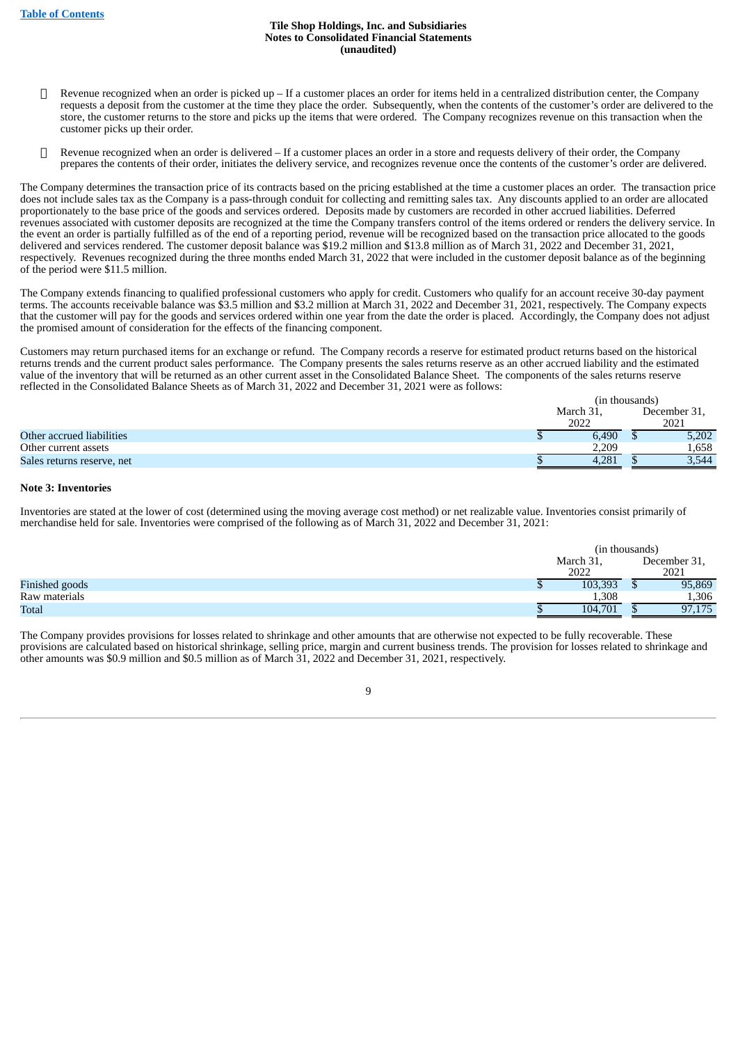- $\Box$  Revenue recognized when an order is picked up If a customer places an order for items held in a centralized distribution center, the Company requests a deposit from the customer at the time they place the order. Subsequently, when the contents of the customer's order are delivered to the store, the customer returns to the store and picks up the items that were ordered. The Company recognizes revenue on this transaction when the customer picks up their order.
- $\Box$  Revenue recognized when an order is delivered  $-$  If a customer places an order in a store and requests delivery of their order, the Company prepares the contents of their order, initiates the delivery service, and recognizes revenue once the contents of the customer's order are delivered.

The Company determines the transaction price of its contracts based on the pricing established at the time a customer places an order. The transaction price does not include sales tax as the Company is a pass-through conduit for collecting and remitting sales tax. Any discounts applied to an order are allocated proportionately to the base price of the goods and services ordered. Deposits made by customers are recorded in other accrued liabilities. Deferred revenues associated with customer deposits are recognized at the time the Company transfers control of the items ordered or renders the delivery service. In the event an order is partially fulfilled as of the end of a reporting period, revenue will be recognized based on the transaction price allocated to the goods delivered and services rendered. The customer deposit balance was \$19.2 million and \$13.8 million as of March 31, 2022 and December 31, 2021, respectively. Revenues recognized during the three months ended March 31, 2022 that were included in the customer deposit balance as of the beginning of the period were \$11.5 million.

The Company extends financing to qualified professional customers who apply for credit. Customers who qualify for an account receive 30-day payment terms. The accounts receivable balance was \$3.5 million and \$3.2 million at March 31, 2022 and December 31, 2021, respectively. The Company expects that the customer will pay for the goods and services ordered within one year from the date the order is placed. Accordingly, the Company does not adjust the promised amount of consideration for the effects of the financing component.

Customers may return purchased items for an exchange or refund. The Company records a reserve for estimated product returns based on the historical returns trends and the current product sales performance. The Company presents the sales returns reserve as an other accrued liability and the estimated value of the inventory that will be returned as an other current asset in the Consolidated Balance Sheet. The components of the sales returns reserve reflected in the Consolidated Balance Sheets as of March 31, 2022 and December 31, 2021 were as follows:

|                            | (in thousands) |  |              |
|----------------------------|----------------|--|--------------|
|                            | March 31       |  | December 31, |
|                            | 2022           |  | 2021         |
| Other accrued liabilities  | 6,490          |  | 5,202        |
| Other current assets       | 2,209          |  | 1,658        |
| Sales returns reserve, net | 4,281          |  | 3,544        |

## **Note 3: Inventories**

Inventories are stated at the lower of cost (determined using the moving average cost method) or net realizable value. Inventories consist primarily of merchandise held for sale. Inventories were comprised of the following as of March 31, 2022 and December 31, 2021:

|                | (in thousands) |  |              |
|----------------|----------------|--|--------------|
|                | March 31,      |  | December 31, |
|                | 2022           |  | 2021         |
| Finished goods | 103,393        |  | 95,869       |
| Raw materials  | 1,308          |  | 1,306        |
| <b>Total</b>   | 104,701        |  | 97,175       |

The Company provides provisions for losses related to shrinkage and other amounts that are otherwise not expected to be fully recoverable. These provisions are calculated based on historical shrinkage, selling price, margin and current business trends. The provision for losses related to shrinkage and other amounts was \$0.9 million and \$0.5 million as of March 31, 2022 and December 31, 2021, respectively.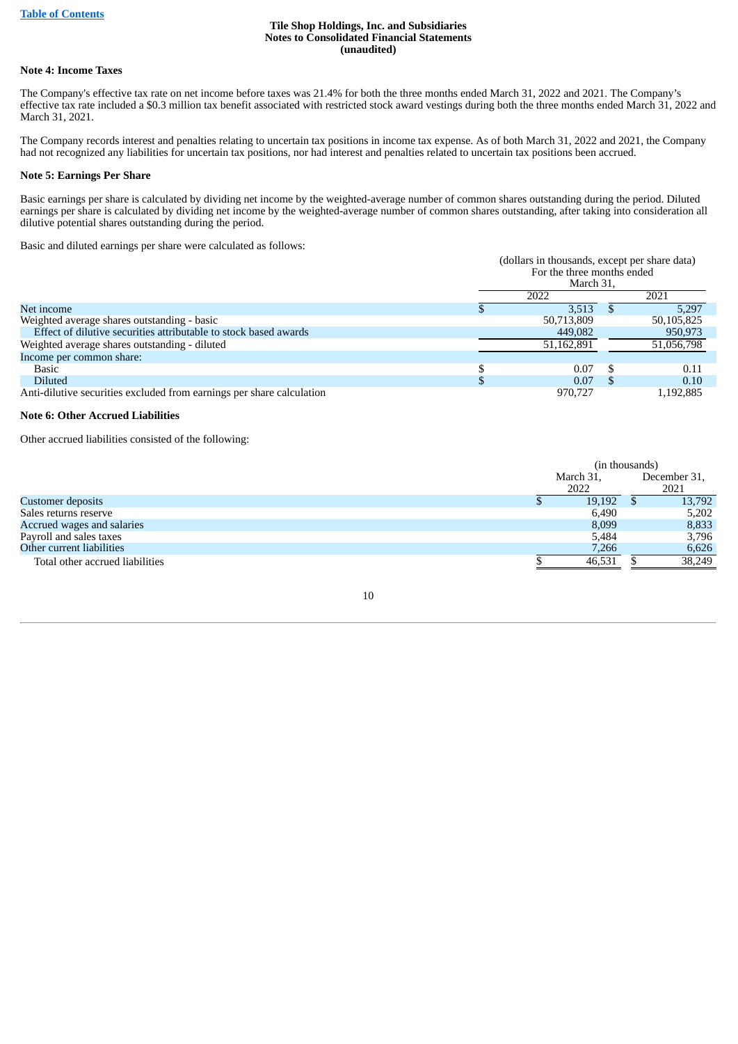## **Note 4: Income Taxes**

The Company's effective tax rate on net income before taxes was 21.4% for both the three months ended March 31, 2022 and 2021. The Company's effective tax rate included a \$0.3 million tax benefit associated with restricted stock award vestings during both the three months ended March 31, 2022 and March 31, 2021.

The Company records interest and penalties relating to uncertain tax positions in income tax expense. As of both March 31, 2022 and 2021, the Company had not recognized any liabilities for uncertain tax positions, nor had interest and penalties related to uncertain tax positions been accrued.

### **Note 5: Earnings Per Share**

Basic earnings per share is calculated by dividing net income by the weighted-average number of common shares outstanding during the period. Diluted earnings per share is calculated by dividing net income by the weighted-average number of common shares outstanding, after taking into consideration all dilutive potential shares outstanding during the period.

Basic and diluted earnings per share were calculated as follows:

|                                                                       | (dollars in thousands, except per share data)<br>For the three months ended<br>March 31, |            |
|-----------------------------------------------------------------------|------------------------------------------------------------------------------------------|------------|
|                                                                       | 2022                                                                                     | 2021       |
| Net income                                                            | 3.513                                                                                    | 5.297      |
| Weighted average shares outstanding - basic                           | 50,713,809                                                                               | 50,105,825 |
| Effect of dilutive securities attributable to stock based awards      | 449,082                                                                                  | 950,973    |
| Weighted average shares outstanding - diluted                         | 51,162,891                                                                               | 51,056,798 |
| Income per common share:                                              |                                                                                          |            |
| <b>Basic</b>                                                          | 0.07                                                                                     | 0.11       |
| <b>Diluted</b>                                                        | 0.07                                                                                     | 0.10       |
| Anti-dilutive securities excluded from earnings per share calculation | 970,727                                                                                  | 1.192.885  |

## **Note 6: Other Accrued Liabilities**

Other accrued liabilities consisted of the following:

|                                 | (in thousands) |  |              |
|---------------------------------|----------------|--|--------------|
|                                 | March 31.      |  | December 31, |
|                                 | 2022           |  | 2021         |
| Customer deposits               | 19.192         |  | 13,792       |
| Sales returns reserve           | 6,490          |  | 5,202        |
| Accrued wages and salaries      | 8,099          |  | 8,833        |
| Payroll and sales taxes         | 5,484          |  | 3,796        |
| Other current liabilities       | 7,266          |  | 6,626        |
| Total other accrued liabilities | 46.531         |  | 38.249       |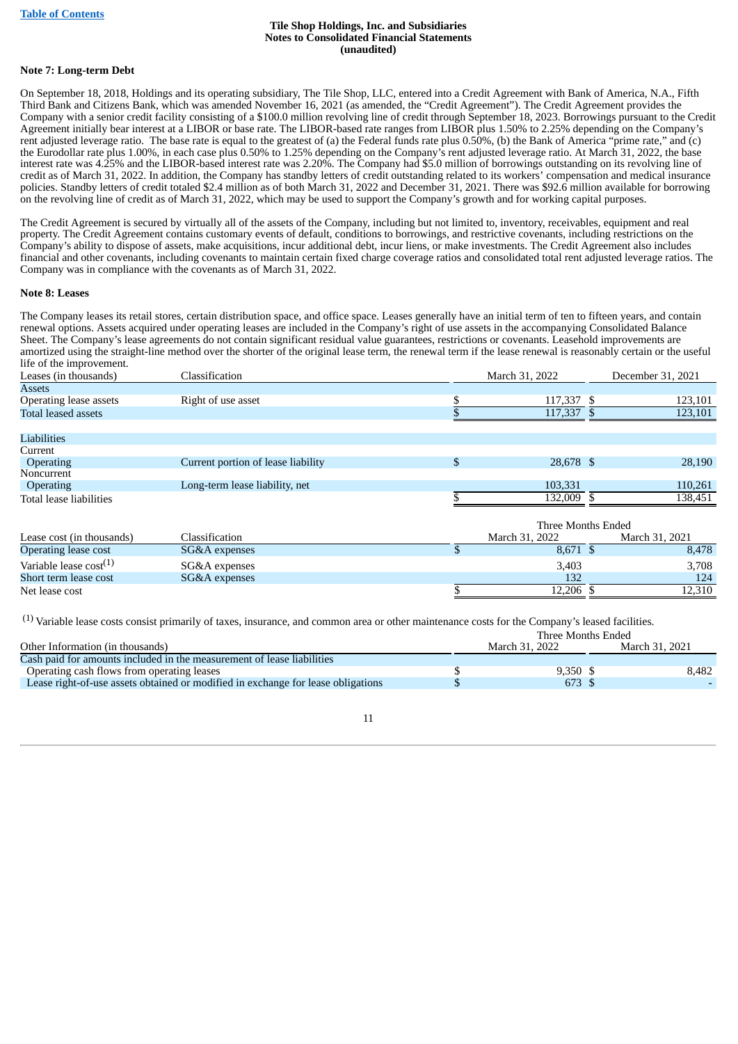## **Note 7: Long-term Debt**

On September 18, 2018, Holdings and its operating subsidiary, The Tile Shop, LLC, entered into a Credit Agreement with Bank of America, N.A., Fifth Third Bank and Citizens Bank, which was amended November 16, 2021 (as amended, the "Credit Agreement"). The Credit Agreement provides the Company with a senior credit facility consisting of a \$100.0 million revolving line of credit through September 18, 2023. Borrowings pursuant to the Credit Agreement initially bear interest at a LIBOR or base rate. The LIBOR-based rate ranges from LIBOR plus 1.50% to 2.25% depending on the Company's rent adjusted leverage ratio. The base rate is equal to the greatest of (a) the Federal funds rate plus 0.50%, (b) the Bank of America "prime rate," and (c) the Eurodollar rate plus 1.00%, in each case plus 0.50% to 1.25% depending on the Company's rent adjusted leverage ratio. At March 31, 2022, the base interest rate was 4.25% and the LIBOR-based interest rate was 2.20%. The Company had \$5.0 million of borrowings outstanding on its revolving line of credit as of March 31, 2022. In addition, the Company has standby letters of credit outstanding related to its workers' compensation and medical insurance policies. Standby letters of credit totaled \$2.4 million as of both March 31, 2022 and December 31, 2021. There was \$92.6 million available for borrowing on the revolving line of credit as of March 31, 2022, which may be used to support the Company's growth and for working capital purposes.

The Credit Agreement is secured by virtually all of the assets of the Company, including but not limited to, inventory, receivables, equipment and real property. The Credit Agreement contains customary events of default, conditions to borrowings, and restrictive covenants, including restrictions on the Company's ability to dispose of assets, make acquisitions, incur additional debt, incur liens, or make investments. The Credit Agreement also includes financial and other covenants, including covenants to maintain certain fixed charge coverage ratios and consolidated total rent adjusted leverage ratios. The Company was in compliance with the covenants as of March 31, 2022.

### **Note 8: Leases**

The Company leases its retail stores, certain distribution space, and office space. Leases generally have an initial term of ten to fifteen years, and contain renewal options. Assets acquired under operating leases are included in the Company's right of use assets in the accompanying Consolidated Balance Sheet. The Company's lease agreements do not contain significant residual value guarantees, restrictions or covenants. Leasehold improvements are amortized using the straight-line method over the shorter of the original lease term, the renewal term if the lease renewal is reasonably certain or the useful life of the improvement.

| Leases (in thousands)     | Classification                     | March 31, 2022 | December 31, 2021              |                                |
|---------------------------|------------------------------------|----------------|--------------------------------|--------------------------------|
| <b>Assets</b>             |                                    |                |                                |                                |
| Operating lease assets    | Right of use asset                 |                | 117,337 \$                     | 123,101                        |
| Total leased assets       |                                    |                | 117,337                        | 123,101                        |
|                           |                                    |                |                                |                                |
| <b>Liabilities</b>        |                                    |                |                                |                                |
| Current                   |                                    |                |                                |                                |
| <b>Operating</b>          | Current portion of lease liability | \$             | 28,678 \$                      | 28,190                         |
| Noncurrent                |                                    |                |                                |                                |
| <b>Operating</b>          | Long-term lease liability, net     |                | 103,331                        | 110,261                        |
| Total lease liabilities   |                                    |                | 132,009 \$                     | 138,451                        |
|                           |                                    |                | Three Months Ended             |                                |
| Losso cost (in thousands) | Classification                     |                | $M$ <sub>2rc</sub> h 21 $2022$ | $M$ <sub>2rc</sub> h 21 $2021$ |

| Lease cost (in thousands) | Classification | March 31, 2022 | March 31, 2021 |
|---------------------------|----------------|----------------|----------------|
| Operating lease cost      | SG&A expenses  | 8,671          | 8,478          |
| Variable lease $cost(1)$  | SG&A expenses  | 3,403          | 3,708          |
| Short term lease cost     | SG&A expenses  | 132            | 124            |
| Net lease cost            |                | 12.206         | 12,310         |

 $^{(1)}$  Variable lease costs consist primarily of taxes, insurance, and common area or other maintenance costs for the Company's leased facilities.

|                                                                                  | Three Months Ended |                |
|----------------------------------------------------------------------------------|--------------------|----------------|
| Other Information (in thousands)                                                 | March 31, 2022     | March 31, 2021 |
| Cash paid for amounts included in the measurement of lease liabilities           |                    |                |
| Operating cash flows from operating leases                                       | $9.350$ \$         | 8.482          |
| Lease right-of-use assets obtained or modified in exchange for lease obligations | 673 \$             |                |
|                                                                                  |                    |                |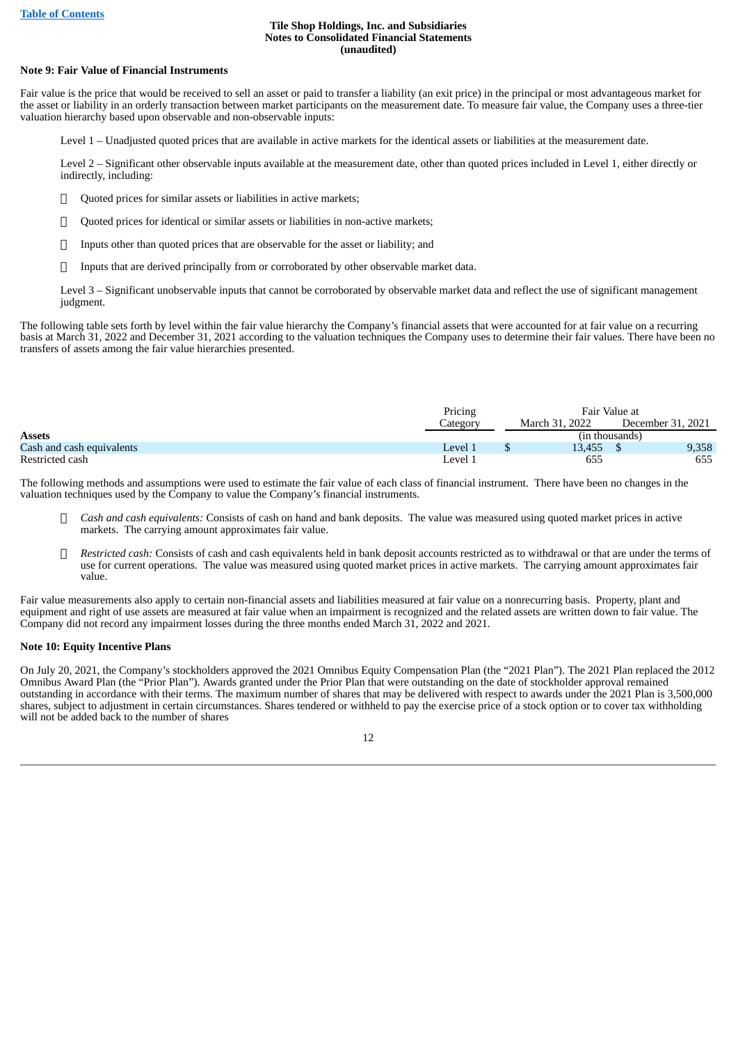## **Note 9: Fair Value of Financial Instruments**

Fair value is the price that would be received to sell an asset or paid to transfer a liability (an exit price) in the principal or most advantageous market for the asset or liability in an orderly transaction between market participants on the measurement date. To measure fair value, the Company uses a three-tier valuation hierarchy based upon observable and non-observable inputs:

Level 1 – Unadjusted quoted prices that are available in active markets for the identical assets or liabilities at the measurement date.

Level 2 – Significant other observable inputs available at the measurement date, other than quoted prices included in Level 1, either directly or indirectly, including:

- $\Box$  Ouoted prices for similar assets or liabilities in active markets;
- Quoted prices for identical or similar assets or liabilities in non-active markets;
- $\Box$  Inputs other than quoted prices that are observable for the asset or liability; and
- $\Box$  Inputs that are derived principally from or corroborated by other observable market data.

Level 3 – Significant unobservable inputs that cannot be corroborated by observable market data and reflect the use of significant management judgment.

The following table sets forth by level within the fair value hierarchy the Company's financial assets that were accounted for at fair value on a recurring basis at March 31, 2022 and December 31, 2021 according to the valuation techniques the Company uses to determine their fair values. There have been no transfers of assets among the fair value hierarchies presented.

|                           | Pricing            | Fair Value at  |                   |
|---------------------------|--------------------|----------------|-------------------|
|                           | Lategory           | March 31, 2022 | December 31, 2021 |
| <b>Assets</b>             |                    | (in thousands) |                   |
| Cash and cash equivalents | Level 1            | 13,455         | 9,358             |
| Restricted cash           | Level <sup>1</sup> | 655            | 655               |

The following methods and assumptions were used to estimate the fair value of each class of financial instrument. There have been no changes in the valuation techniques used by the Company to value the Company's financial instruments.

- *Cash and cash equivalents:* Consists of cash on hand and bank deposits. The value was measured using quoted market prices in active markets. The carrying amount approximates fair value.
- *Restricted cash:* Consists of cash and cash equivalents held in bank deposit accounts restricted as to withdrawal or that are under the terms of use for current operations. The value was measured using quoted market prices in active markets. The carrying amount approximates fair value.

Fair value measurements also apply to certain non-financial assets and liabilities measured at fair value on a nonrecurring basis. Property, plant and equipment and right of use assets are measured at fair value when an impairment is recognized and the related assets are written down to fair value. The Company did not record any impairment losses during the three months ended March 31, 2022 and 2021.

## **Note 10: Equity Incentive Plans**

On July 20, 2021, the Company's stockholders approved the 2021 Omnibus Equity Compensation Plan (the "2021 Plan"). The 2021 Plan replaced the 2012 Omnibus Award Plan (the "Prior Plan"). Awards granted under the Prior Plan that were outstanding on the date of stockholder approval remained outstanding in accordance with their terms. The maximum number of shares that may be delivered with respect to awards under the 2021 Plan is 3,500,000 shares, subject to adjustment in certain circumstances. Shares tendered or withheld to pay the exercise price of a stock option or to cover tax withholding will not be added back to the number of shares

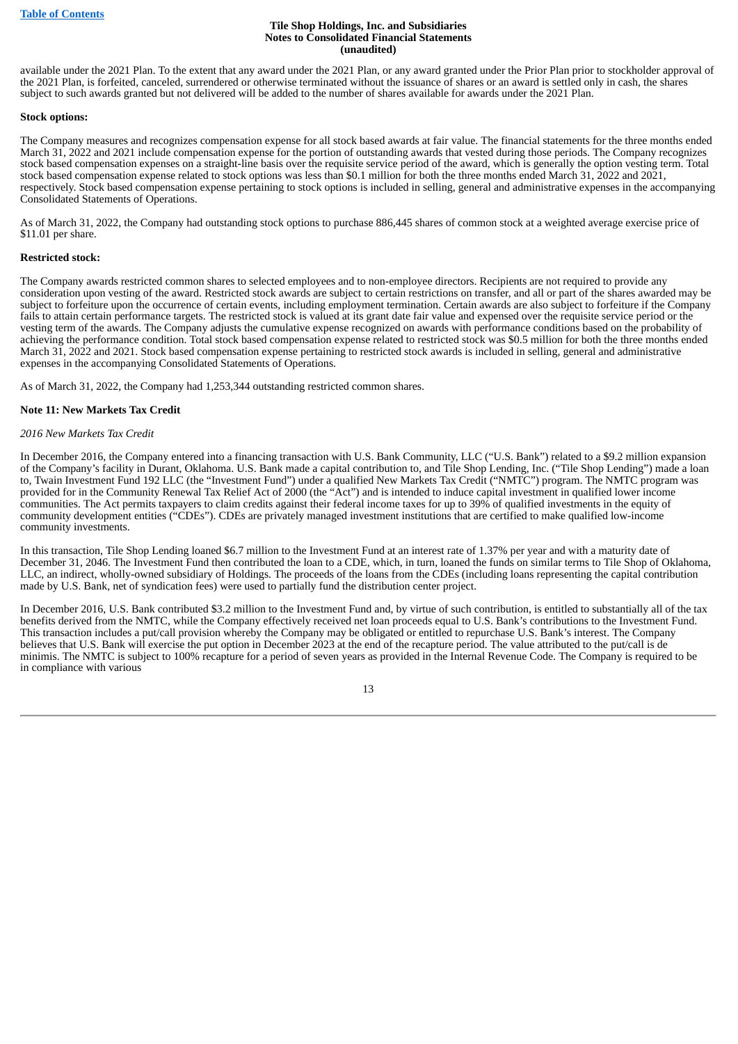available under the 2021 Plan. To the extent that any award under the 2021 Plan, or any award granted under the Prior Plan prior to stockholder approval of the 2021 Plan, is forfeited, canceled, surrendered or otherwise terminated without the issuance of shares or an award is settled only in cash, the shares subject to such awards granted but not delivered will be added to the number of shares available for awards under the 2021 Plan.

## **Stock options:**

The Company measures and recognizes compensation expense for all stock based awards at fair value. The financial statements for the three months ended March 31, 2022 and 2021 include compensation expense for the portion of outstanding awards that vested during those periods. The Company recognizes stock based compensation expenses on a straight-line basis over the requisite service period of the award, which is generally the option vesting term. Total stock based compensation expense related to stock options was less than \$0.1 million for both the three months ended March 31, 2022 and 2021, respectively. Stock based compensation expense pertaining to stock options is included in selling, general and administrative expenses in the accompanying Consolidated Statements of Operations.

As of March 31, 2022, the Company had outstanding stock options to purchase 886,445 shares of common stock at a weighted average exercise price of \$11.01 per share.

## **Restricted stock:**

The Company awards restricted common shares to selected employees and to non-employee directors. Recipients are not required to provide any consideration upon vesting of the award. Restricted stock awards are subject to certain restrictions on transfer, and all or part of the shares awarded may be subject to forfeiture upon the occurrence of certain events, including employment termination. Certain awards are also subject to forfeiture if the Company fails to attain certain performance targets. The restricted stock is valued at its grant date fair value and expensed over the requisite service period or the vesting term of the awards. The Company adjusts the cumulative expense recognized on awards with performance conditions based on the probability of achieving the performance condition. Total stock based compensation expense related to restricted stock was \$0.5 million for both the three months ended March 31, 2022 and 2021. Stock based compensation expense pertaining to restricted stock awards is included in selling, general and administrative expenses in the accompanying Consolidated Statements of Operations.

As of March 31, 2022, the Company had 1,253,344 outstanding restricted common shares.

#### **Note 11: New Markets Tax Credit**

#### *2016 New Markets Tax Credit*

In December 2016, the Company entered into a financing transaction with U.S. Bank Community, LLC ("U.S. Bank") related to a \$9.2 million expansion of the Company's facility in Durant, Oklahoma. U.S. Bank made a capital contribution to, and Tile Shop Lending, Inc. ("Tile Shop Lending") made a loan to, Twain Investment Fund 192 LLC (the "Investment Fund") under a qualified New Markets Tax Credit ("NMTC") program. The NMTC program was provided for in the Community Renewal Tax Relief Act of 2000 (the "Act") and is intended to induce capital investment in qualified lower income communities. The Act permits taxpayers to claim credits against their federal income taxes for up to 39% of qualified investments in the equity of community development entities ("CDEs"). CDEs are privately managed investment institutions that are certified to make qualified low-income community investments.

In this transaction, Tile Shop Lending loaned \$6.7 million to the Investment Fund at an interest rate of 1.37% per year and with a maturity date of December 31, 2046. The Investment Fund then contributed the loan to a CDE, which, in turn, loaned the funds on similar terms to Tile Shop of Oklahoma, LLC, an indirect, wholly-owned subsidiary of Holdings. The proceeds of the loans from the CDEs (including loans representing the capital contribution made by U.S. Bank, net of syndication fees) were used to partially fund the distribution center project.

In December 2016, U.S. Bank contributed \$3.2 million to the Investment Fund and, by virtue of such contribution, is entitled to substantially all of the tax benefits derived from the NMTC, while the Company effectively received net loan proceeds equal to U.S. Bank's contributions to the Investment Fund. This transaction includes a put/call provision whereby the Company may be obligated or entitled to repurchase U.S. Bank's interest. The Company believes that U.S. Bank will exercise the put option in December 2023 at the end of the recapture period. The value attributed to the put/call is de minimis. The NMTC is subject to 100% recapture for a period of seven years as provided in the Internal Revenue Code. The Company is required to be in compliance with various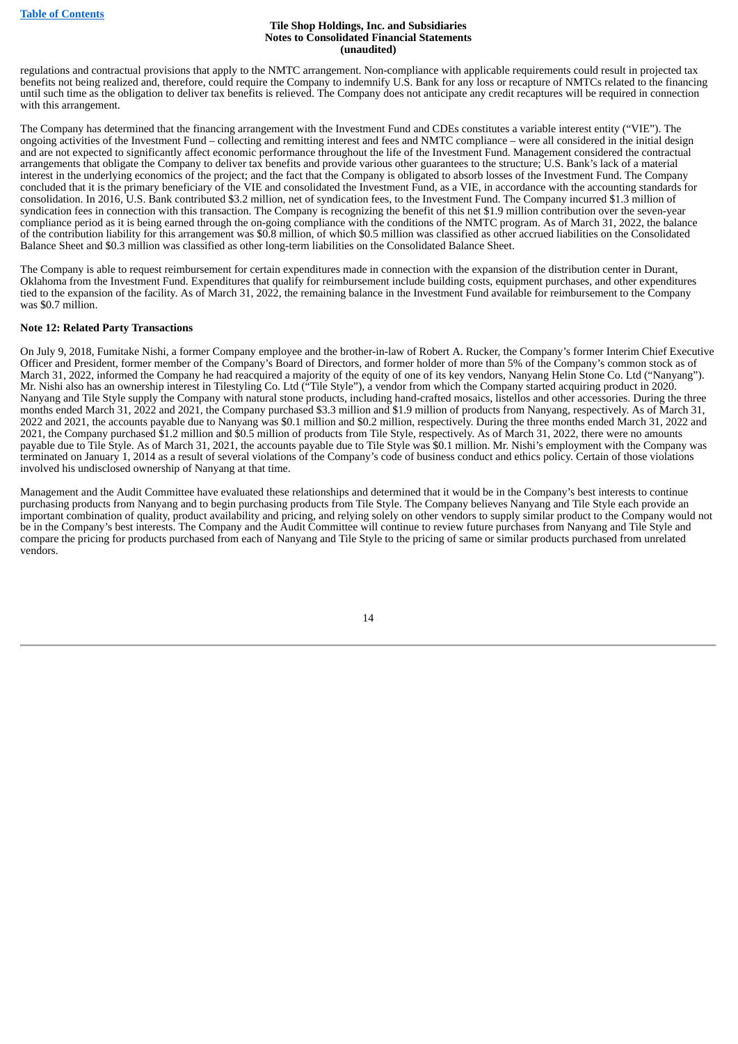regulations and contractual provisions that apply to the NMTC arrangement. Non-compliance with applicable requirements could result in projected tax benefits not being realized and, therefore, could require the Company to indemnify U.S. Bank for any loss or recapture of NMTCs related to the financing until such time as the obligation to deliver tax benefits is relieved. The Company does not anticipate any credit recaptures will be required in connection with this arrangement.

The Company has determined that the financing arrangement with the Investment Fund and CDEs constitutes a variable interest entity ("VIE"). The ongoing activities of the Investment Fund – collecting and remitting interest and fees and NMTC compliance – were all considered in the initial design and are not expected to significantly affect economic performance throughout the life of the Investment Fund. Management considered the contractual arrangements that obligate the Company to deliver tax benefits and provide various other guarantees to the structure; U.S. Bank's lack of a material interest in the underlying economics of the project; and the fact that the Company is obligated to absorb losses of the Investment Fund. The Company concluded that it is the primary beneficiary of the VIE and consolidated the Investment Fund, as a VIE, in accordance with the accounting standards for consolidation. In 2016, U.S. Bank contributed \$3.2 million, net of syndication fees, to the Investment Fund. The Company incurred \$1.3 million of syndication fees in connection with this transaction. The Company is recognizing the benefit of this net \$1.9 million contribution over the seven-year compliance period as it is being earned through the on-going compliance with the conditions of the NMTC program. As of March 31, 2022, the balance of the contribution liability for this arrangement was \$0.8 million, of which \$0.5 million was classified as other accrued liabilities on the Consolidated Balance Sheet and \$0.3 million was classified as other long-term liabilities on the Consolidated Balance Sheet.

The Company is able to request reimbursement for certain expenditures made in connection with the expansion of the distribution center in Durant, Oklahoma from the Investment Fund. Expenditures that qualify for reimbursement include building costs, equipment purchases, and other expenditures tied to the expansion of the facility. As of March 31, 2022, the remaining balance in the Investment Fund available for reimbursement to the Company was \$0.7 million.

## **Note 12: Related Party Transactions**

On July 9, 2018, Fumitake Nishi, a former Company employee and the brother-in-law of Robert A. Rucker, the Company's former Interim Chief Executive Officer and President, former member of the Company's Board of Directors, and former holder of more than 5% of the Company's common stock as of March 31, 2022, informed the Company he had reacquired a majority of the equity of one of its key vendors, Nanyang Helin Stone Co. Ltd ("Nanyang"). Mr. Nishi also has an ownership interest in Tilestyling Co. Ltd ("Tile Style"), a vendor from which the Company started acquiring product in 2020. Nanyang and Tile Style supply the Company with natural stone products, including hand-crafted mosaics, listellos and other accessories. During the three months ended March 31, 2022 and 2021, the Company purchased \$3.3 million and \$1.9 million of products from Nanyang, respectively. As of March 31, 2022 and 2021, the accounts payable due to Nanyang was \$0.1 million and \$0.2 million, respectively. During the three months ended March 31, 2022 and 2021, the Company purchased \$1.2 million and \$0.5 million of products from Tile Style, respectively. As of March 31, 2022, there were no amounts payable due to Tile Style. As of March 31, 2021, the accounts payable due to Tile Style was \$0.1 million. Mr. Nishi's employment with the Company was terminated on January 1, 2014 as a result of several violations of the Company's code of business conduct and ethics policy. Certain of those violations involved his undisclosed ownership of Nanyang at that time.

Management and the Audit Committee have evaluated these relationships and determined that it would be in the Company's best interests to continue purchasing products from Nanyang and to begin purchasing products from Tile Style. The Company believes Nanyang and Tile Style each provide an important combination of quality, product availability and pricing, and relying solely on other vendors to supply similar product to the Company would not be in the Company's best interests. The Company and the Audit Committee will continue to review future purchases from Nanyang and Tile Style and compare the pricing for products purchased from each of Nanyang and Tile Style to the pricing of same or similar products purchased from unrelated vendors.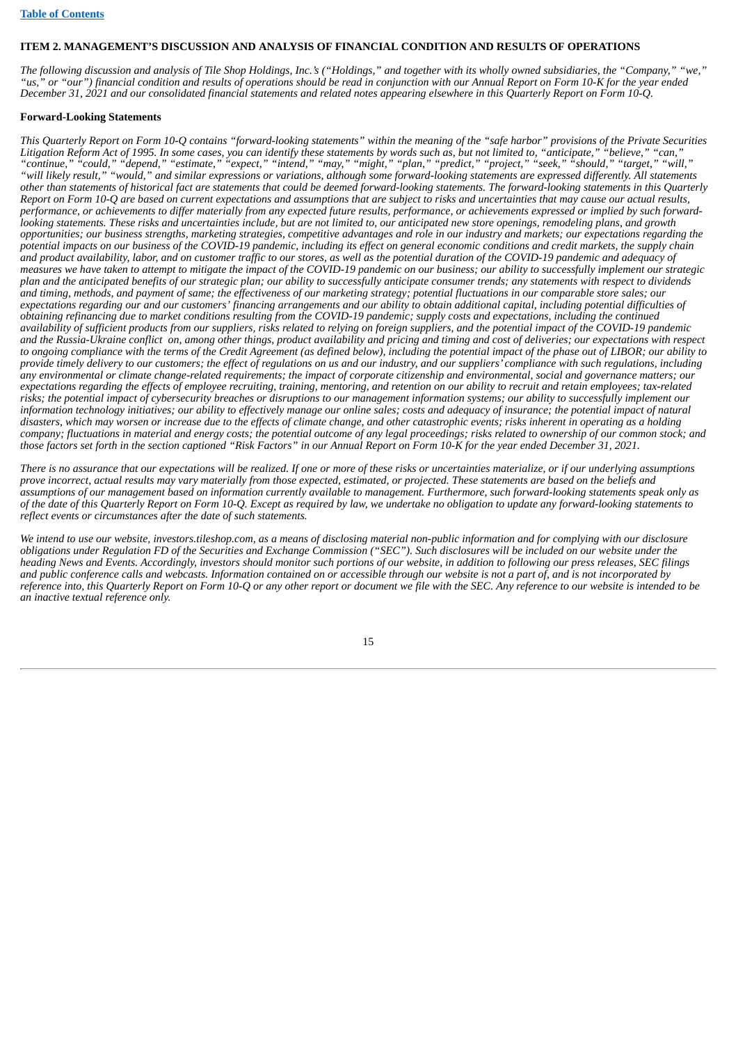## <span id="page-14-0"></span>**ITEM 2. MANAGEMENT'S DISCUSSION AND ANALYSIS OF FINANCIAL CONDITION AND RESULTS OF OPERATIONS**

The following discussion and analysis of Tile Shop Holdings, Inc.'s ("Holdings," and together with its wholly owned subsidiaries, the "Company," "we," "us," or "our") financial condition and results of operations should be read in conjunction with our Annual Report on Form 10-K for the year ended December 31, 2021 and our consolidated financial statements and related notes appearing elsewhere in this Quarterly Report on Form 10-O.

#### **Forward-Looking Statements**

This Quarterly Report on Form 10-Q contains "forward-looking statements" within the meaning of the "safe harbor" provisions of the Private Securities Litigation Reform Act of 1995. In some cases, you can identify these statements by words such as, but not limited to, "anticipate," "believe," "can," "continue," "could," "depend," "estimate," "expect," "intend," "may," "might," "plan," "predict," "project," "seek," "should," "target," "will," "will likely result," "would," and similar expressions or variations, although some forward-looking statements are expressed differently. All statements other than statements of historical fact are statements that could be deemed forward-looking statements. The forward-looking statements in this Quarterly Report on Form 10-Q are based on current expectations and assumptions that are subject to risks and uncertainties that may cause our actual results, performance, or achievements to differ materially from any expected future results, performance, or achievements expressed or implied by such forwardlooking statements. These risks and uncertainties include, but are not limited to, our anticipated new store openings, remodeling plans, and growth opportunities; our business strengths, marketing strategies, competitive advantages and role in our industry and markets; our expectations regarding the potential impacts on our business of the COVID-19 pandemic, including its effect on general economic conditions and credit markets, the supply chain and product availability, labor, and on customer traffic to our stores, as well as the potential duration of the COVID-19 pandemic and adequacy of measures we have taken to attempt to mitigate the impact of the COVID-19 pandemic on our business; our ability to successfully implement our strategic plan and the anticipated benefits of our strategic plan; our ability to successfully anticipate consumer trends; any statements with respect to dividends and timing, methods, and payment of same; the effectiveness of our marketing strategy; potential fluctuations in our comparable store sales; our expectations regarding our and our customers' financing arrangements and our ability to obtain additional capital, including potential difficulties of obtaining refinancing due to market conditions resulting from the COVID-19 pandemic; supply costs and expectations, including the continued availability of sufficient products from our suppliers, risks related to relying on foreign suppliers, and the potential impact of the COVID-19 pandemic and the Russia-Ukraine conflict on, among other things, product availability and pricing and timing and cost of deliveries; our expectations with respect to ongoing compliance with the terms of the Credit Agreement (as defined below), including the potential impact of the phase out of LIBOR; our ability to provide timely delivery to our customers; the effect of regulations on us and our industry, and our suppliers' compliance with such regulations, including any environmental or climate change-related requirements; the impact of corporate citizenship and environmental, social and governance matters; our expectations regarding the effects of employee recruiting, training, mentoring, and retention on our ability to recruit and retain employees; tax-related risks; the potential impact of cybersecurity breaches or disruptions to our management information systems; our ability to successfully implement our information technology initiatives; our ability to effectively manage our online sales; costs and adequacy of insurance; the potential impact of natural disasters, which may worsen or increase due to the effects of climate change, and other catastrophic events; risks inherent in operating as a holding company; fluctuations in material and energy costs; the potential outcome of any legal proceedings; risks related to ownership of our common stock; and those factors set forth in the section captioned "Risk Factors" in our Annual Report on Form 10-K for the vear ended December 31, 2021.

There is no assurance that our expectations will be realized. If one or more of these risks or uncertainties materialize, or if our underlying assumptions prove incorrect, actual results may vary materially from those expected, estimated, or projected. These statements are based on the beliefs and assumptions of our management based on information currently available to management. Furthermore, such forward-looking statements speak only as of the date of this Quarterly Report on Form 10-Q. Except as required by law, we undertake no obligation to update any forward-looking statements to *reflect events or circumstances after the date of such statements.*

We intend to use our website, investors,tileshop.com, as a means of disclosing material non-public information and for complying with our disclosure obligations under Regulation FD of the Securities and Exchange Commission ("SEC"). Such disclosures will be included on our website under the heading News and Events. Accordingly, investors should monitor such portions of our website, in addition to following our press releases, SEC filings and public conference calls and webcasts. Information contained on or accessible through our website is not a part of, and is not incorporated by reference into, this Quarterly Report on Form 10-Q or any other report or document we file with the SEC. Any reference to our website is intended to be *an inactive textual reference only.*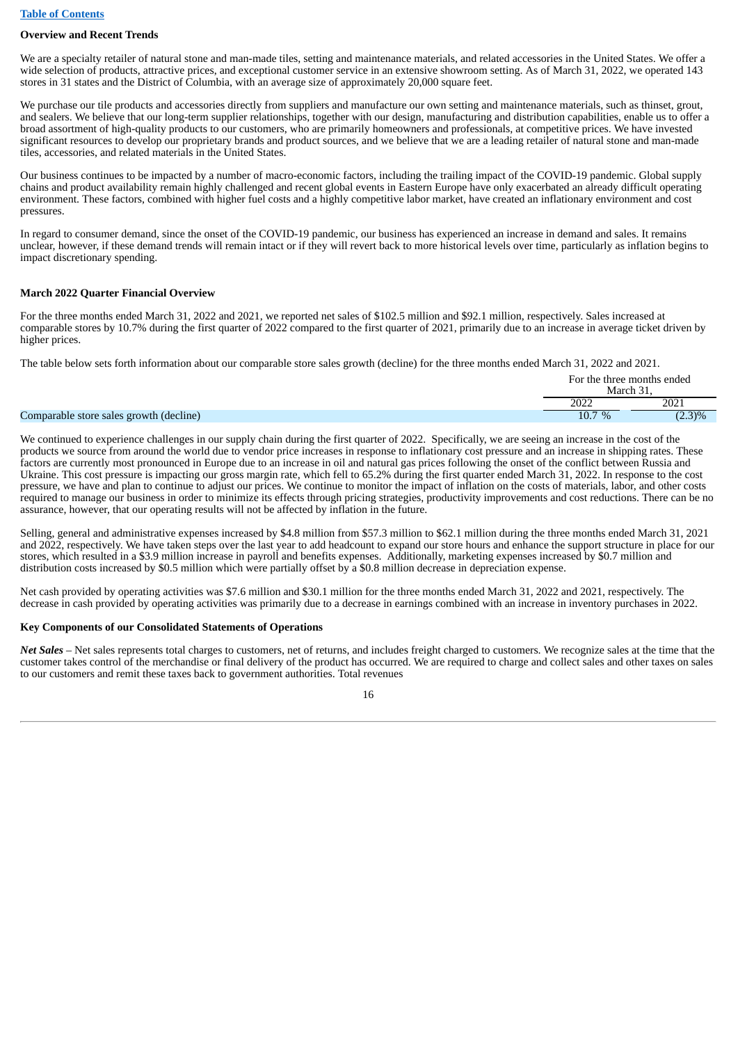## **Overview and Recent Trends**

We are a specialty retailer of natural stone and man-made tiles, setting and maintenance materials, and related accessories in the United States. We offer a wide selection of products, attractive prices, and exceptional customer service in an extensive showroom setting. As of March 31, 2022, we operated 143 stores in 31 states and the District of Columbia, with an average size of approximately 20,000 square feet.

We purchase our tile products and accessories directly from suppliers and manufacture our own setting and maintenance materials, such as thinset, grout, and sealers. We believe that our long-term supplier relationships, together with our design, manufacturing and distribution capabilities, enable us to offer a broad assortment of high-quality products to our customers, who are primarily homeowners and professionals, at competitive prices. We have invested significant resources to develop our proprietary brands and product sources, and we believe that we are a leading retailer of natural stone and man-made tiles, accessories, and related materials in the United States.

Our business continues to be impacted by a number of macro-economic factors, including the trailing impact of the COVID-19 pandemic. Global supply chains and product availability remain highly challenged and recent global events in Eastern Europe have only exacerbated an already difficult operating environment. These factors, combined with higher fuel costs and a highly competitive labor market, have created an inflationary environment and cost pressures.

In regard to consumer demand, since the onset of the COVID-19 pandemic, our business has experienced an increase in demand and sales. It remains unclear, however, if these demand trends will remain intact or if they will revert back to more historical levels over time, particularly as inflation begins to impact discretionary spending.

### **March 2022 Quarter Financial Overview**

For the three months ended March 31, 2022 and 2021, we reported net sales of \$102.5 million and \$92.1 million, respectively. Sales increased at comparable stores by 10.7% during the first quarter of 2022 compared to the first quarter of 2021, primarily due to an increase in average ticket driven by higher prices.

The table below sets forth information about our comparable store sales growth (decline) for the three months ended March 31, 2022 and 2021.

|                                         | For the three months ended<br>March 31. |           |
|-----------------------------------------|-----------------------------------------|-----------|
|                                         | 2022                                    | 2021      |
| Comparable store sales growth (decline) | 10.7 %                                  | $(2.3)\%$ |
|                                         |                                         |           |

We continued to experience challenges in our supply chain during the first quarter of 2022. Specifically, we are seeing an increase in the cost of the products we source from around the world due to vendor price increases in response to inflationary cost pressure and an increase in shipping rates. These factors are currently most pronounced in Europe due to an increase in oil and natural gas prices following the onset of the conflict between Russia and Ukraine. This cost pressure is impacting our gross margin rate, which fell to 65.2% during the first quarter ended March 31, 2022. In response to the cost pressure, we have and plan to continue to adjust our prices. We continue to monitor the impact of inflation on the costs of materials, labor, and other costs required to manage our business in order to minimize its effects through pricing strategies, productivity improvements and cost reductions. There can be no assurance, however, that our operating results will not be affected by inflation in the future.

Selling, general and administrative expenses increased by \$4.8 million from \$57.3 million to \$62.1 million during the three months ended March 31, 2021 and 2022, respectively. We have taken steps over the last year to add headcount to expand our store hours and enhance the support structure in place for our stores, which resulted in a \$3.9 million increase in payroll and benefits expenses. Additionally, marketing expenses increased by \$0.7 million and distribution costs increased by \$0.5 million which were partially offset by a \$0.8 million decrease in depreciation expense.

Net cash provided by operating activities was \$7.6 million and \$30.1 million for the three months ended March 31, 2022 and 2021, respectively. The decrease in cash provided by operating activities was primarily due to a decrease in earnings combined with an increase in inventory purchases in 2022.

### **Key Components of our Consolidated Statements of Operations**

*Net Sales* – Net sales represents total charges to customers, net of returns, and includes freight charged to customers. We recognize sales at the time that the customer takes control of the merchandise or final delivery of the product has occurred. We are required to charge and collect sales and other taxes on sales to our customers and remit these taxes back to government authorities. Total revenues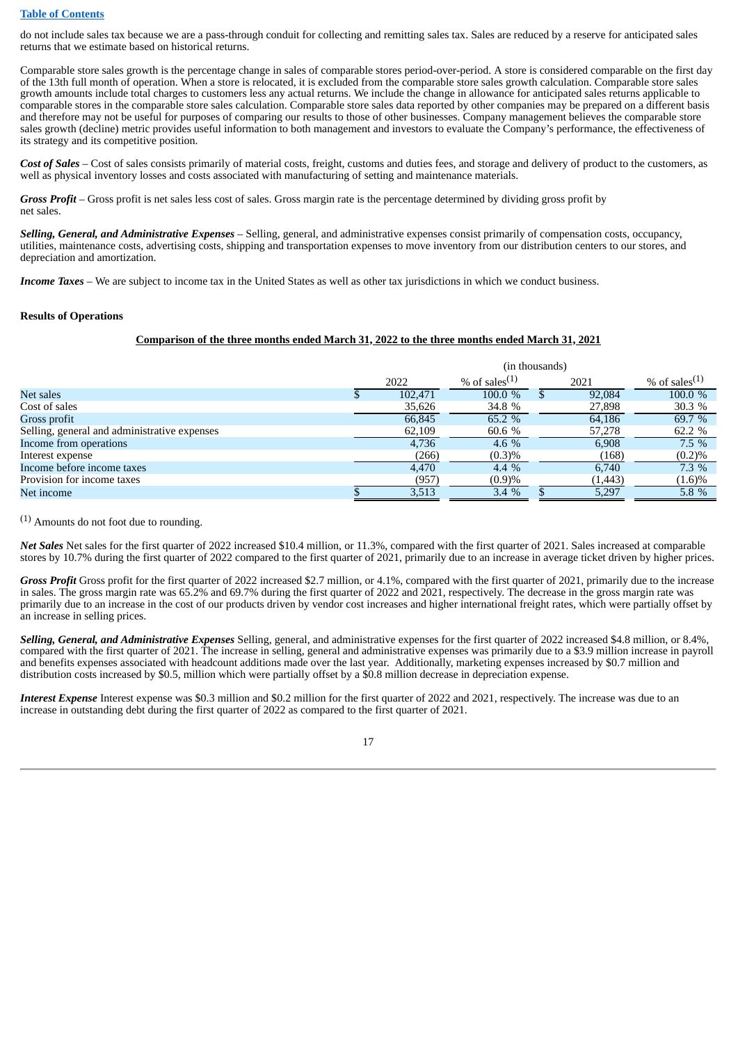## **Table of [Contents](#page-1-0)**

do not include sales tax because we are a pass-through conduit for collecting and remitting sales tax. Sales are reduced by a reserve for anticipated sales returns that we estimate based on historical returns.

Comparable store sales growth is the percentage change in sales of comparable stores period-over-period. A store is considered comparable on the first day of the 13th full month of operation. When a store is relocated, it is excluded from the comparable store sales growth calculation. Comparable store sales growth amounts include total charges to customers less any actual returns. We include the change in allowance for anticipated sales returns applicable to comparable stores in the comparable store sales calculation. Comparable store sales data reported by other companies may be prepared on a different basis and therefore may not be useful for purposes of comparing our results to those of other businesses. Company management believes the comparable store sales growth (decline) metric provides useful information to both management and investors to evaluate the Company's performance, the effectiveness of its strategy and its competitive position.

*Cost of Sales* – Cost of sales consists primarily of material costs, freight, customs and duties fees, and storage and delivery of product to the customers, as well as physical inventory losses and costs associated with manufacturing of setting and maintenance materials.

*Gross Profit* – Gross profit is net sales less cost of sales. Gross margin rate is the percentage determined by dividing gross profit by net sales.

*Selling, General, and Administrative Expenses* – Selling, general, and administrative expenses consist primarily of compensation costs, occupancy, utilities, maintenance costs, advertising costs, shipping and transportation expenses to move inventory from our distribution centers to our stores, and depreciation and amortization.

*Income Taxes* – We are subject to income tax in the United States as well as other tax jurisdictions in which we conduct business.

#### **Results of Operations**

#### **Comparison of the three months ended March 31, 2022 to the three months ended March 31, 2021**

|                                              | (in thousands) |                                        |  |          |                                        |  |
|----------------------------------------------|----------------|----------------------------------------|--|----------|----------------------------------------|--|
|                                              | 2022           | % of sales <sup><math>(1)</math></sup> |  | 2021     | % of sales <sup><math>(1)</math></sup> |  |
| Net sales                                    | 102.471        | 100.0 %                                |  | 92,084   | 100.0 %                                |  |
| Cost of sales                                | 35,626         | 34.8 %                                 |  | 27,898   | 30.3 %                                 |  |
| Gross profit                                 | 66,845         | 65.2 %                                 |  | 64,186   | 69.7 %                                 |  |
| Selling, general and administrative expenses | 62,109         | 60.6 %                                 |  | 57,278   | 62.2 %                                 |  |
| Income from operations                       | 4,736          | 4.6 $%$                                |  | 6,908    | $7.5\%$                                |  |
| Interest expense                             | (266)          | (0.3)%                                 |  | (168)    | (0.2)%                                 |  |
| Income before income taxes                   | 4,470          | 4.4 $%$                                |  | 6.740    | $7.3\%$                                |  |
| Provision for income taxes                   | (957)          | (0.9)%                                 |  | (1, 443) | $(1.6)\%$                              |  |
| Net income                                   | 3,513          | 3.4%                                   |  | 5,297    | 5.8 %                                  |  |

(1) Amounts do not foot due to rounding.

*Net Sales* Net sales for the first quarter of 2022 increased \$10.4 million, or 11.3%, compared with the first quarter of 2021. Sales increased at comparable stores by 10.7% during the first quarter of 2022 compared to the first quarter of 2021, primarily due to an increase in average ticket driven by higher prices.

*Gross Profit* Gross profit for the first quarter of 2022 increased \$2.7 million, or 4.1%, compared with the first quarter of 2021, primarily due to the increase in sales. The gross margin rate was 65.2% and 69.7% during the first quarter of 2022 and 2021, respectively. The decrease in the gross margin rate was primarily due to an increase in the cost of our products driven by vendor cost increases and higher international freight rates, which were partially offset by an increase in selling prices.

*Selling, General, and Administrative Expenses* Selling, general, and administrative expenses for the first quarter of 2022 increased \$4.8 million, or 8.4%, compared with the first quarter of 2021. The increase in selling, general and administrative expenses was primarily due to a \$3.9 million increase in payroll and benefits expenses associated with headcount additions made over the last year. Additionally, marketing expenses increased by \$0.7 million and distribution costs increased by \$0.5, million which were partially offset by a \$0.8 million decrease in depreciation expense.

*Interest Expense* Interest expense was \$0.3 million and \$0.2 million for the first quarter of 2022 and 2021, respectively. The increase was due to an increase in outstanding debt during the first quarter of 2022 as compared to the first quarter of 2021.

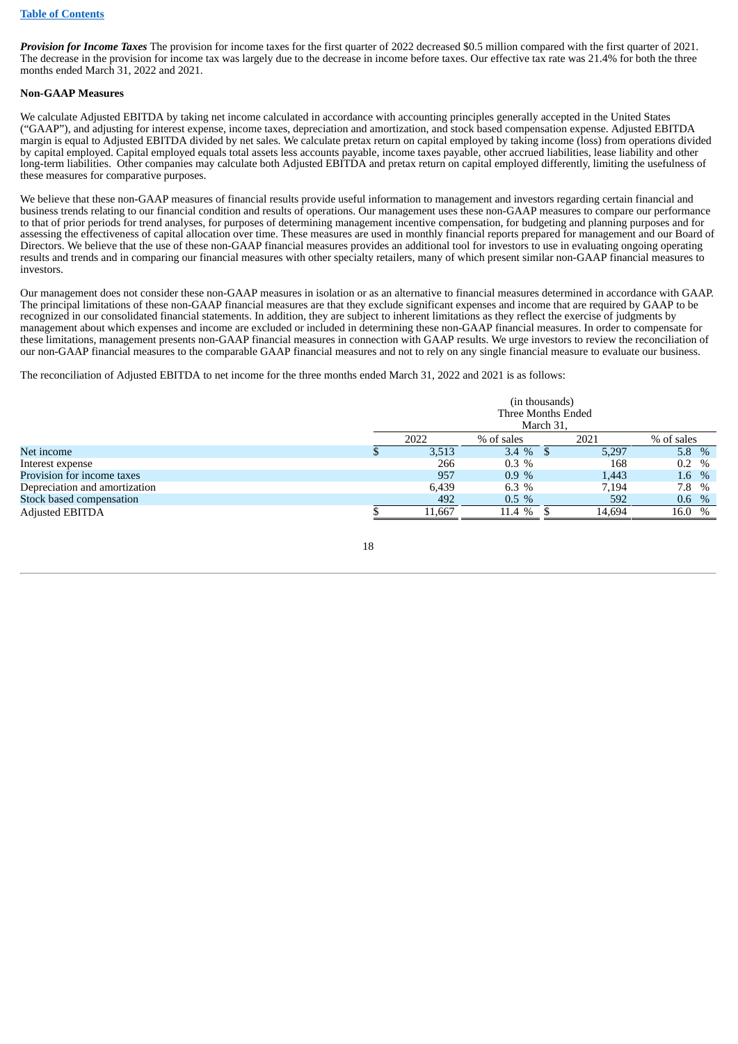## **Table of [Contents](#page-1-0)**

*Provision for Income Taxes* The provision for income taxes for the first quarter of 2022 decreased \$0.5 million compared with the first quarter of 2021. The decrease in the provision for income tax was largely due to the decrease in income before taxes. Our effective tax rate was 21.4% for both the three months ended March 31, 2022 and 2021.

## **Non-GAAP Measures**

We calculate Adjusted EBITDA by taking net income calculated in accordance with accounting principles generally accepted in the United States ("GAAP"), and adjusting for interest expense, income taxes, depreciation and amortization, and stock based compensation expense. Adjusted EBITDA margin is equal to Adjusted EBITDA divided by net sales. We calculate pretax return on capital employed by taking income (loss) from operations divided by capital employed. Capital employed equals total assets less accounts payable, income taxes payable, other accrued liabilities, lease liability and other long-term liabilities. Other companies may calculate both Adjusted EBITDA and pretax return on capital employed differently, limiting the usefulness of these measures for comparative purposes.

We believe that these non-GAAP measures of financial results provide useful information to management and investors regarding certain financial and business trends relating to our financial condition and results of operations. Our management uses these non-GAAP measures to compare our performance to that of prior periods for trend analyses, for purposes of determining management incentive compensation, for budgeting and planning purposes and for assessing the effectiveness of capital allocation over time. These measures are used in monthly financial reports prepared for management and our Board of Directors. We believe that the use of these non-GAAP financial measures provides an additional tool for investors to use in evaluating ongoing operating results and trends and in comparing our financial measures with other specialty retailers, many of which present similar non-GAAP financial measures to investors.

Our management does not consider these non-GAAP measures in isolation or as an alternative to financial measures determined in accordance with GAAP. The principal limitations of these non-GAAP financial measures are that they exclude significant expenses and income that are required by GAAP to be recognized in our consolidated financial statements. In addition, they are subject to inherent limitations as they reflect the exercise of judgments by management about which expenses and income are excluded or included in determining these non-GAAP financial measures. In order to compensate for these limitations, management presents non-GAAP financial measures in connection with GAAP results. We urge investors to review the reconciliation of our non-GAAP financial measures to the comparable GAAP financial measures and not to rely on any single financial measure to evaluate our business.

The reconciliation of Adjusted EBITDA to net income for the three months ended March 31, 2022 and 2021 is as follows:

|                               | (in thousands) |                    |            |  |        |            |  |  |  |
|-------------------------------|----------------|--------------------|------------|--|--------|------------|--|--|--|
|                               |                | Three Months Ended |            |  |        |            |  |  |  |
|                               |                | March 31,          |            |  |        |            |  |  |  |
|                               |                | 2022               | % of sales |  | 2021   | % of sales |  |  |  |
| Net income                    |                | 3,513              | 3.4%       |  | 5,297  | 5.8 $%$    |  |  |  |
| Interest expense              |                | 266                | $0.3\%$    |  | 168    | 0.2 %      |  |  |  |
| Provision for income taxes    |                | 957                | $0.9\%$    |  | 1.443  | 1.6 %      |  |  |  |
| Depreciation and amortization |                | 6,439              | 6.3 $%$    |  | 7,194  | 7.8 %      |  |  |  |
| Stock based compensation      |                | 492                | $0.5\%$    |  | 592    | $0.6\%$    |  |  |  |
| Adjusted EBITDA               |                | 11,667             | 11.4 %     |  | 14,694 | 16.0 %     |  |  |  |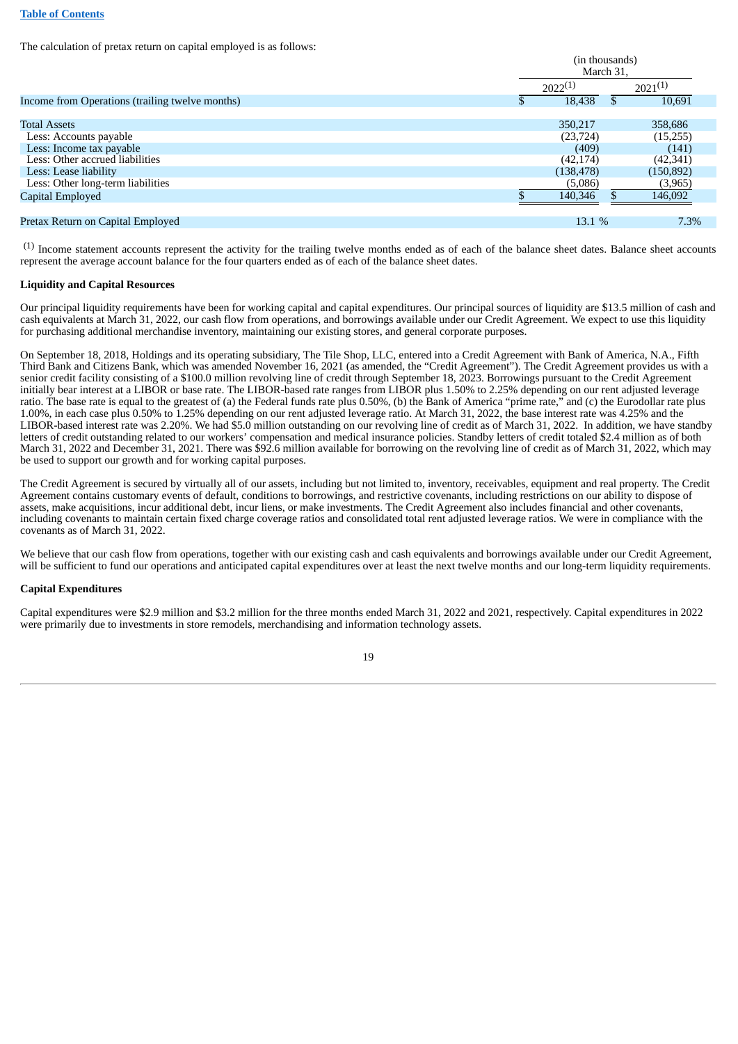The calculation of pretax return on capital employed is as follows:

|                                                 | (in thousands)<br>March 31, |  |              |  |
|-------------------------------------------------|-----------------------------|--|--------------|--|
|                                                 | $2022^{(1)}$                |  | $2021^{(1)}$ |  |
| Income from Operations (trailing twelve months) | 18,438                      |  | 10,691       |  |
|                                                 |                             |  |              |  |
| <b>Total Assets</b>                             | 350,217                     |  | 358,686      |  |
| Less: Accounts payable                          | (23, 724)                   |  | (15,255)     |  |
| Less: Income tax payable                        | (409)                       |  | (141)        |  |
| Less: Other accrued liabilities                 | (42, 174)                   |  | (42, 341)    |  |
| Less: Lease liability                           | (138, 478)                  |  | (150, 892)   |  |
| Less: Other long-term liabilities               | (5,086)                     |  | (3,965)      |  |
| Capital Employed                                | 140,346                     |  | 146,092      |  |
| Pretax Return on Capital Employed               | 13.1 %                      |  | 7.3%         |  |

 $^{(1)}$  Income statement accounts represent the activity for the trailing twelve months ended as of each of the balance sheet dates. Balance sheet accounts represent the average account balance for the four quarters ended as of each of the balance sheet dates.

## **Liquidity and Capital Resources**

Our principal liquidity requirements have been for working capital and capital expenditures. Our principal sources of liquidity are \$13.5 million of cash and cash equivalents at March 31, 2022, our cash flow from operations, and borrowings available under our Credit Agreement. We expect to use this liquidity for purchasing additional merchandise inventory, maintaining our existing stores, and general corporate purposes.

On September 18, 2018, Holdings and its operating subsidiary, The Tile Shop, LLC, entered into a Credit Agreement with Bank of America, N.A., Fifth Third Bank and Citizens Bank, which was amended November 16, 2021 (as amended, the "Credit Agreement"). The Credit Agreement provides us with a senior credit facility consisting of a \$100.0 million revolving line of credit through September 18, 2023. Borrowings pursuant to the Credit Agreement initially bear interest at a LIBOR or base rate. The LIBOR-based rate ranges from LIBOR plus 1.50% to 2.25% depending on our rent adjusted leverage ratio. The base rate is equal to the greatest of (a) the Federal funds rate plus 0.50%, (b) the Bank of America "prime rate," and (c) the Eurodollar rate plus 1.00%, in each case plus 0.50% to 1.25% depending on our rent adjusted leverage ratio. At March 31, 2022, the base interest rate was 4.25% and the LIBOR-based interest rate was 2.20%. We had \$5.0 million outstanding on our revolving line of credit as of March 31, 2022. In addition, we have standby letters of credit outstanding related to our workers' compensation and medical insurance policies. Standby letters of credit totaled \$2.4 million as of both March 31, 2022 and December 31, 2021. There was \$92.6 million available for borrowing on the revolving line of credit as of March 31, 2022, which may be used to support our growth and for working capital purposes.

The Credit Agreement is secured by virtually all of our assets, including but not limited to, inventory, receivables, equipment and real property. The Credit Agreement contains customary events of default, conditions to borrowings, and restrictive covenants, including restrictions on our ability to dispose of assets, make acquisitions, incur additional debt, incur liens, or make investments. The Credit Agreement also includes financial and other covenants, including covenants to maintain certain fixed charge coverage ratios and consolidated total rent adjusted leverage ratios. We were in compliance with the covenants as of March 31, 2022.

We believe that our cash flow from operations, together with our existing cash and cash equivalents and borrowings available under our Credit Agreement, will be sufficient to fund our operations and anticipated capital expenditures over at least the next twelve months and our long-term liquidity requirements.

## **Capital Expenditures**

Capital expenditures were \$2.9 million and \$3.2 million for the three months ended March 31, 2022 and 2021, respectively. Capital expenditures in 2022 were primarily due to investments in store remodels, merchandising and information technology assets.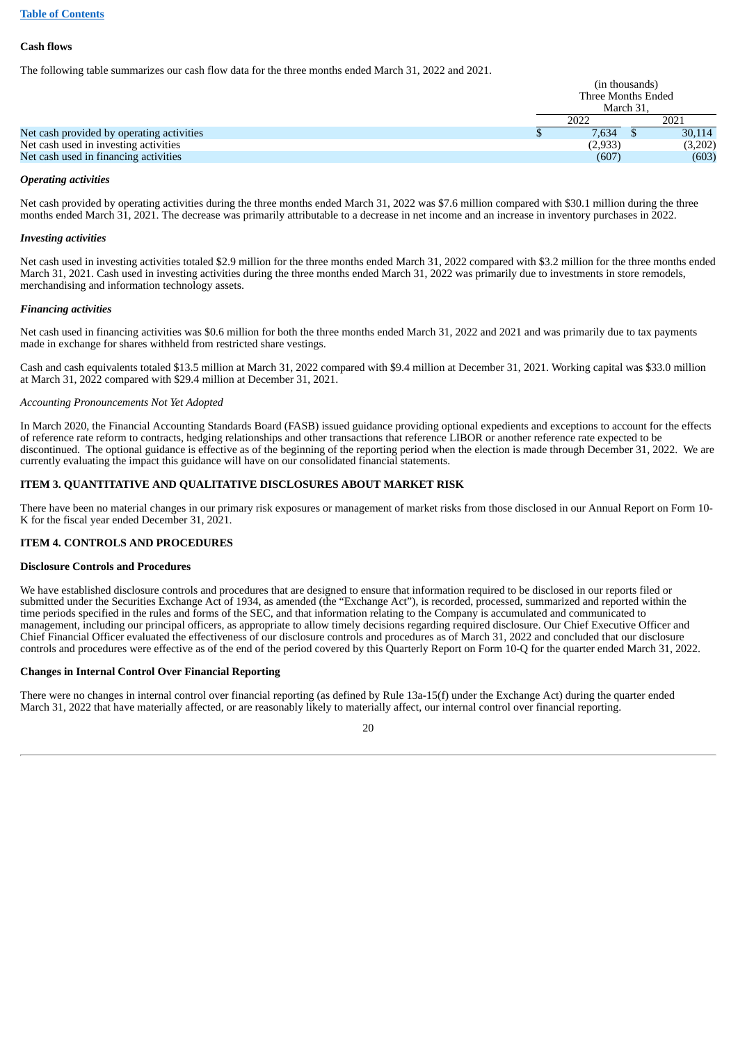## **Cash flows**

The following table summarizes our cash flow data for the three months ended March 31, 2022 and 2021.

|                                           | TIII UJUUSAIJUS J  |           |         |  |
|-------------------------------------------|--------------------|-----------|---------|--|
|                                           | Three Months Ended |           |         |  |
|                                           |                    | March 31. |         |  |
|                                           | 2022               |           | 2021    |  |
| Net cash provided by operating activities | 7.634              |           | 30,114  |  |
| Net cash used in investing activities     | (2,933)            |           | (3,202) |  |
| Net cash used in financing activities     | (607)              |           | (603)   |  |
|                                           |                    |           |         |  |

(in thousands)

#### *Operating activities*

Net cash provided by operating activities during the three months ended March 31, 2022 was \$7.6 million compared with \$30.1 million during the three months ended March 31, 2021. The decrease was primarily attributable to a decrease in net income and an increase in inventory purchases in 2022.

#### *Investing activities*

Net cash used in investing activities totaled \$2.9 million for the three months ended March 31, 2022 compared with \$3.2 million for the three months ended March 31, 2021. Cash used in investing activities during the three months ended March 31, 2022 was primarily due to investments in store remodels, merchandising and information technology assets.

#### *Financing activities*

Net cash used in financing activities was \$0.6 million for both the three months ended March 31, 2022 and 2021 and was primarily due to tax payments made in exchange for shares withheld from restricted share vestings.

Cash and cash equivalents totaled \$13.5 million at March 31, 2022 compared with \$9.4 million at December 31, 2021. Working capital was \$33.0 million at March 31, 2022 compared with \$29.4 million at December 31, 2021.

#### *Accounting Pronouncements Not Yet Adopted*

In March 2020, the Financial Accounting Standards Board (FASB) issued guidance providing optional expedients and exceptions to account for the effects of reference rate reform to contracts, hedging relationships and other transactions that reference LIBOR or another reference rate expected to be discontinued. The optional guidance is effective as of the beginning of the reporting period when the election is made through December 31, 2022. We are currently evaluating the impact this guidance will have on our consolidated financial statements.

## <span id="page-19-0"></span>**ITEM 3. QUANTITATIVE AND QUALITATIVE DISCLOSURES ABOUT MARKET RISK**

There have been no material changes in our primary risk exposures or management of market risks from those disclosed in our Annual Report on Form 10- K for the fiscal year ended December 31, 2021.

#### <span id="page-19-1"></span>**ITEM 4. CONTROLS AND PROCEDURES**

#### **Disclosure Controls and Procedures**

We have established disclosure controls and procedures that are designed to ensure that information required to be disclosed in our reports filed or submitted under the Securities Exchange Act of 1934, as amended (the "Exchange Act"), is recorded, processed, summarized and reported within the time periods specified in the rules and forms of the SEC, and that information relating to the Company is accumulated and communicated to management, including our principal officers, as appropriate to allow timely decisions regarding required disclosure. Our Chief Executive Officer and Chief Financial Officer evaluated the effectiveness of our disclosure controls and procedures as of March 31, 2022 and concluded that our disclosure controls and procedures were effective as of the end of the period covered by this Quarterly Report on Form 10-Q for the quarter ended March 31, 2022.

#### **Changes in Internal Control Over Financial Reporting**

There were no changes in internal control over financial reporting (as defined by Rule 13a-15(f) under the Exchange Act) during the quarter ended March 31, 2022 that have materially affected, or are reasonably likely to materially affect, our internal control over financial reporting.

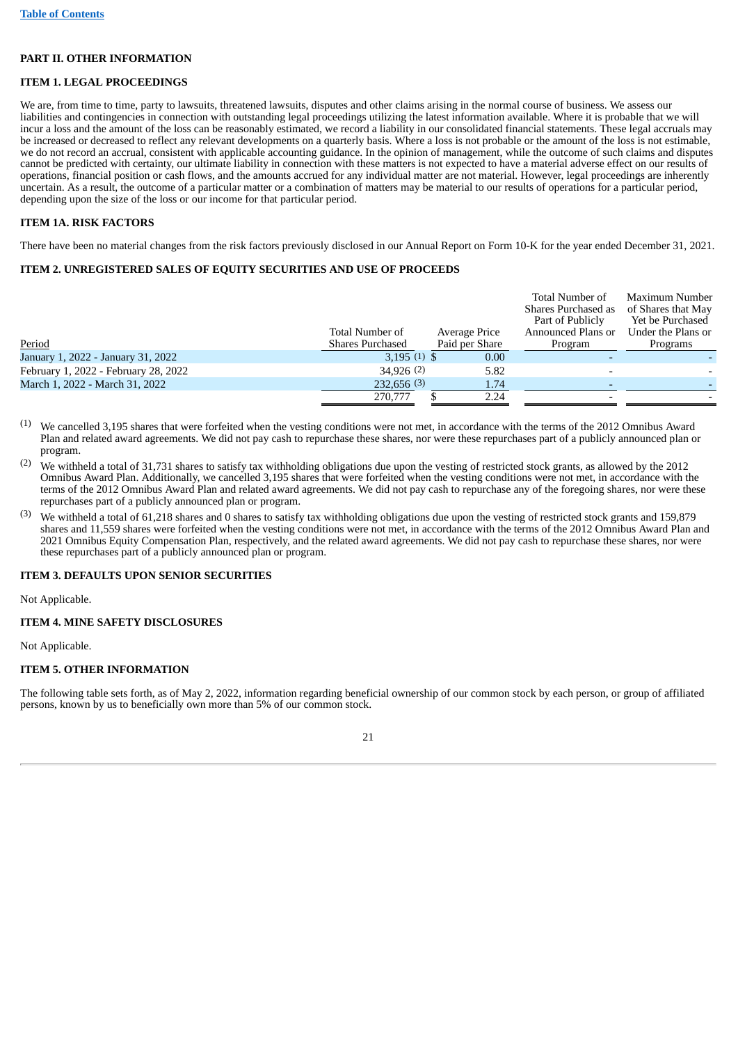## <span id="page-20-0"></span>**PART II. OTHER INFORMATION**

## <span id="page-20-1"></span>**ITEM 1. LEGAL PROCEEDINGS**

We are, from time to time, party to lawsuits, threatened lawsuits, disputes and other claims arising in the normal course of business. We assess our liabilities and contingencies in connection with outstanding legal proceedings utilizing the latest information available. Where it is probable that we will incur a loss and the amount of the loss can be reasonably estimated, we record a liability in our consolidated financial statements. These legal accruals may be increased or decreased to reflect any relevant developments on a quarterly basis. Where a loss is not probable or the amount of the loss is not estimable, we do not record an accrual, consistent with applicable accounting guidance. In the opinion of management, while the outcome of such claims and disputes cannot be predicted with certainty, our ultimate liability in connection with these matters is not expected to have a material adverse effect on our results of operations, financial position or cash flows, and the amounts accrued for any individual matter are not material. However, legal proceedings are inherently uncertain. As a result, the outcome of a particular matter or a combination of matters may be material to our results of operations for a particular period, depending upon the size of the loss or our income for that particular period.

## <span id="page-20-2"></span>**ITEM 1A. RISK FACTORS**

There have been no material changes from the risk factors previously disclosed in our Annual Report on Form 10-K for the year ended December 31, 2021.

## <span id="page-20-3"></span>**ITEM 2. UNREGISTERED SALES OF EQUITY SECURITIES AND USE OF PROCEEDS**

| Period                               | Total Number of<br><b>Shares Purchased</b> | Average Price<br>Paid per Share | Total Number of<br>Shares Purchased as<br>Part of Publicly<br>Announced Plans or<br>Program | Maximum Number<br>of Shares that May<br>Yet be Purchased<br>Under the Plans or<br>Programs |
|--------------------------------------|--------------------------------------------|---------------------------------|---------------------------------------------------------------------------------------------|--------------------------------------------------------------------------------------------|
|                                      |                                            |                                 |                                                                                             |                                                                                            |
| January 1, 2022 - January 31, 2022   | $3,195(1)$ \$                              | 0.00                            |                                                                                             |                                                                                            |
| February 1, 2022 - February 28, 2022 | 34,926(2)                                  | 5.82                            |                                                                                             |                                                                                            |
| March 1, 2022 - March 31, 2022       | 232,656(3)                                 | 1.74                            |                                                                                             |                                                                                            |
|                                      | 270,777                                    | 2.24                            |                                                                                             |                                                                                            |

- (1) We cancelled 3,195 shares that were forfeited when the vesting conditions were not met, in accordance with the terms of the 2012 Omnibus Award Plan and related award agreements. We did not pay cash to repurchase these shares, nor were these repurchases part of a publicly announced plan or program.
- (2) We withheld a total of 31,731 shares to satisfy tax withholding obligations due upon the vesting of restricted stock grants, as allowed by the 2012 Omnibus Award Plan. Additionally, we cancelled 3,195 shares that were forfeited when the vesting conditions were not met, in accordance with the terms of the 2012 Omnibus Award Plan and related award agreements. We did not pay cash to repurchase any of the foregoing shares, nor were these repurchases part of a publicly announced plan or program.
- (3) We withheld a total of 61,218 shares and 0 shares to satisfy tax withholding obligations due upon the vesting of restricted stock grants and 159,879 shares and 11,559 shares were forfeited when the vesting conditions were not met, in accordance with the terms of the 2012 Omnibus Award Plan and 2021 Omnibus Equity Compensation Plan, respectively, and the related award agreements. We did not pay cash to repurchase these shares, nor were these repurchases part of a publicly announced plan or program.

## <span id="page-20-4"></span>**ITEM 3. DEFAULTS UPON SENIOR SECURITIES**

Not Applicable.

## <span id="page-20-5"></span>**ITEM 4. MINE SAFETY DISCLOSURES**

Not Applicable.

### <span id="page-20-6"></span>**ITEM 5. OTHER INFORMATION**

The following table sets forth, as of May 2, 2022, information regarding beneficial ownership of our common stock by each person, or group of affiliated persons, known by us to beneficially own more than 5% of our common stock.

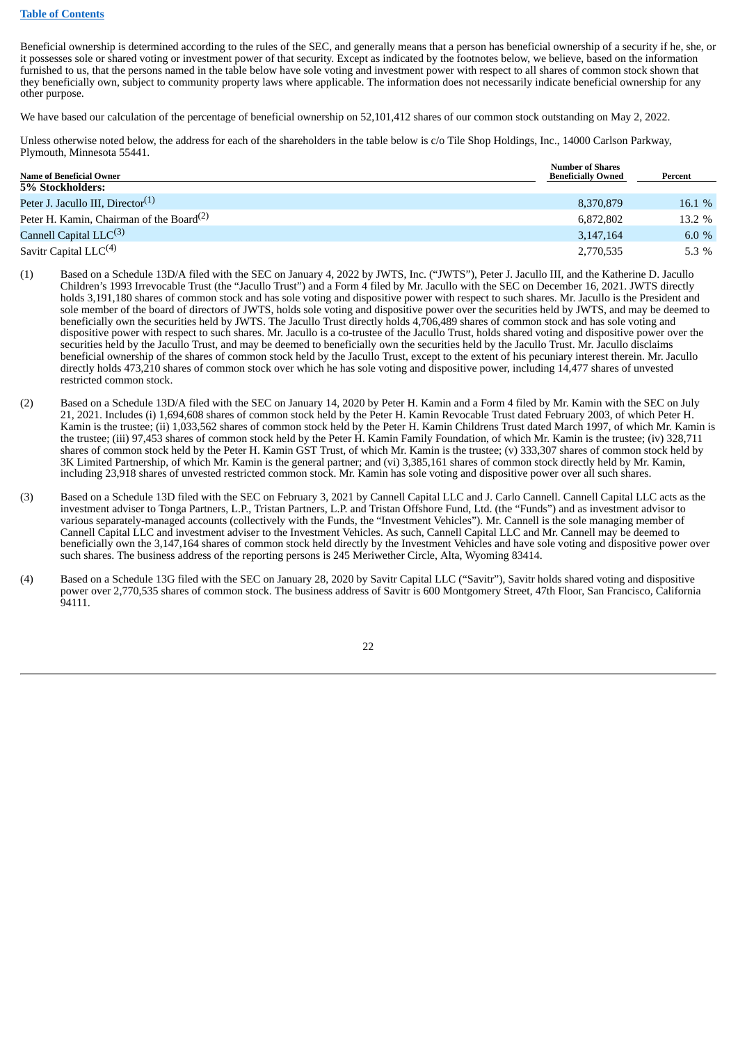## **Table of [Contents](#page-1-0)**

Beneficial ownership is determined according to the rules of the SEC, and generally means that a person has beneficial ownership of a security if he, she, or it possesses sole or shared voting or investment power of that security. Except as indicated by the footnotes below, we believe, based on the information furnished to us, that the persons named in the table below have sole voting and investment power with respect to all shares of common stock shown that they beneficially own, subject to community property laws where applicable. The information does not necessarily indicate beneficial ownership for any other purpose.

We have based our calculation of the percentage of beneficial ownership on 52,101,412 shares of our common stock outstanding on May 2, 2022.

Unless otherwise noted below, the address for each of the shareholders in the table below is c/o Tile Shop Holdings, Inc., 14000 Carlson Parkway, Plymouth, Minnesota 55441.

|                                                      | <b>Number of Shares</b>   |         |
|------------------------------------------------------|---------------------------|---------|
| <b>Name of Beneficial Owner</b>                      | <b>Beneficially Owned</b> | Percent |
| 5% Stockholders:                                     |                           |         |
| Peter J. Jacullo III, Director <sup>(1)</sup>        | 8.370.879                 | 16.1%   |
| Peter H. Kamin, Chairman of the Board <sup>(2)</sup> | 6,872,802                 | 13.2 %  |
| Cannell Capital LLC <sup>(3)</sup>                   | 3,147,164                 | 6.0 $%$ |
| Savitr Capital $LLC(4)$                              | 2,770,535                 | 5.3 %   |

- (1) Based on a Schedule 13D/A filed with the SEC on January 4, 2022 by JWTS, Inc. ("JWTS"), Peter J. Jacullo III, and the Katherine D. Jacullo Children's 1993 Irrevocable Trust (the "Jacullo Trust") and a Form 4 filed by Mr. Jacullo with the SEC on December 16, 2021. JWTS directly holds 3,191,180 shares of common stock and has sole voting and dispositive power with respect to such shares. Mr. Jacullo is the President and sole member of the board of directors of JWTS, holds sole voting and dispositive power over the securities held by JWTS, and may be deemed to beneficially own the securities held by JWTS. The Jacullo Trust directly holds 4,706,489 shares of common stock and has sole voting and dispositive power with respect to such shares. Mr. Jacullo is a co-trustee of the Jacullo Trust, holds shared voting and dispositive power over the securities held by the Jacullo Trust, and may be deemed to beneficially own the securities held by the Jacullo Trust. Mr. Jacullo disclaims beneficial ownership of the shares of common stock held by the Jacullo Trust, except to the extent of his pecuniary interest therein. Mr. Jacullo directly holds 473,210 shares of common stock over which he has sole voting and dispositive power, including 14,477 shares of unvested restricted common stock.
- (2) Based on a Schedule 13D/A filed with the SEC on January 14, 2020 by Peter H. Kamin and a Form 4 filed by Mr. Kamin with the SEC on July 21, 2021. Includes (i) 1,694,608 shares of common stock held by the Peter H. Kamin Revocable Trust dated February 2003, of which Peter H. Kamin is the trustee; (ii) 1,033,562 shares of common stock held by the Peter H. Kamin Childrens Trust dated March 1997, of which Mr. Kamin is the trustee; (iii) 97,453 shares of common stock held by the Peter H. Kamin Family Foundation, of which Mr. Kamin is the trustee; (iv) 328,711 shares of common stock held by the Peter H. Kamin GST Trust, of which Mr. Kamin is the trustee; (v) 333,307 shares of common stock held by 3K Limited Partnership, of which Mr. Kamin is the general partner; and (vi) 3,385,161 shares of common stock directly held by Mr. Kamin, including 23,918 shares of unvested restricted common stock. Mr. Kamin has sole voting and dispositive power over all such shares.
- (3) Based on a Schedule 13D filed with the SEC on February 3, 2021 by Cannell Capital LLC and J. Carlo Cannell. Cannell Capital LLC acts as the investment adviser to Tonga Partners, L.P., Tristan Partners, L.P. and Tristan Offshore Fund, Ltd. (the "Funds") and as investment advisor to various separately-managed accounts (collectively with the Funds, the "Investment Vehicles"). Mr. Cannell is the sole managing member of Cannell Capital LLC and investment adviser to the Investment Vehicles. As such, Cannell Capital LLC and Mr. Cannell may be deemed to beneficially own the 3,147,164 shares of common stock held directly by the Investment Vehicles and have sole voting and dispositive power over such shares. The business address of the reporting persons is 245 Meriwether Circle, Alta, Wyoming 83414.
- (4) Based on a Schedule 13G filed with the SEC on January 28, 2020 by Savitr Capital LLC ("Savitr"), Savitr holds shared voting and dispositive power over 2,770,535 shares of common stock. The business address of Savitr is 600 Montgomery Street, 47th Floor, San Francisco, California 94111.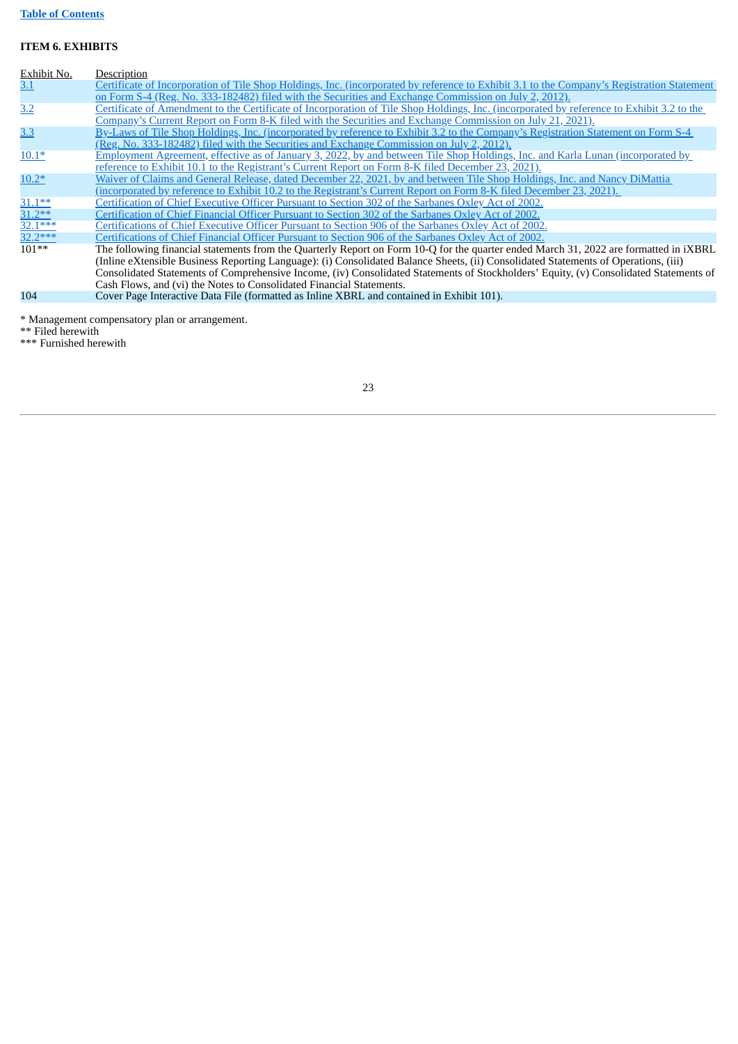## **Table of [Contents](#page-1-0)**

## <span id="page-22-0"></span>**ITEM 6. EXHIBITS**

| Exhibit No.                   | Description                                                                                                                                                                                                                                                                                                 |
|-------------------------------|-------------------------------------------------------------------------------------------------------------------------------------------------------------------------------------------------------------------------------------------------------------------------------------------------------------|
| 3.1                           | Certificate of Incorporation of Tile Shop Holdings, Inc. (incorporated by reference to Exhibit 3.1 to the Company's Registration Statement                                                                                                                                                                  |
|                               | on Form S-4 (Reg. No. 333-182482) filed with the Securities and Exchange Commission on July 2, 2012).                                                                                                                                                                                                       |
| 3.2                           | Certificate of Amendment to the Certificate of Incorporation of Tile Shop Holdings, Inc. (incorporated by reference to Exhibit 3.2 to the                                                                                                                                                                   |
|                               | Company's Current Report on Form 8-K filed with the Securities and Exchange Commission on July 21, 2021).                                                                                                                                                                                                   |
| <u>3.3</u>                    | By-Laws of Tile Shop Holdings, Inc. (incorporated by reference to Exhibit 3.2 to the Company's Registration Statement on Form S-4                                                                                                                                                                           |
|                               | (Reg. No. 333-182482) filed with the Securities and Exchange Commission on July 2, 2012).                                                                                                                                                                                                                   |
| $10.1*$                       | Employment Agreement, effective as of January 3, 2022, by and between Tile Shop Holdings, Inc. and Karla Lunan (incorporated by                                                                                                                                                                             |
|                               | reference to Exhibit 10.1 to the Registrant's Current Report on Form 8-K filed December 23, 2021).                                                                                                                                                                                                          |
| $10.2*$                       | Waiver of Claims and General Release, dated December 22, 2021, by and between Tile Shop Holdings, Inc. and Nancy DiMattia                                                                                                                                                                                   |
|                               | (incorporated by reference to Exhibit 10.2 to the Registrant's Current Report on Form 8-K filed December 23, 2021).                                                                                                                                                                                         |
| $31.1***$                     | Certification of Chief Executive Officer Pursuant to Section 302 of the Sarbanes Oxley Act of 2002.                                                                                                                                                                                                         |
| $31.2**$                      | Certification of Chief Financial Officer Pursuant to Section 302 of the Sarbanes Oxley Act of 2002.                                                                                                                                                                                                         |
| $\frac{32.1***}{32.2***}$     | Certifications of Chief Executive Officer Pursuant to Section 906 of the Sarbanes Oxley Act of 2002.                                                                                                                                                                                                        |
|                               | Certifications of Chief Financial Officer Pursuant to Section 906 of the Sarbanes Oxley Act of 2002.                                                                                                                                                                                                        |
| $101**$                       | The following financial statements from the Quarterly Report on Form 10-Q for the quarter ended March 31, 2022 are formatted in <i>iXBRL</i>                                                                                                                                                                |
|                               | (Inline eXtensible Business Reporting Language): (i) Consolidated Balance Sheets, (ii) Consolidated Statements of Operations, (iii)                                                                                                                                                                         |
|                               | Consolidated Statements of Comprehensive Income, (iv) Consolidated Statements of Stockholders' Equity, (v) Consolidated Statements of                                                                                                                                                                       |
|                               | Cash Flows, and (vi) the Notes to Consolidated Financial Statements.                                                                                                                                                                                                                                        |
| $\overline{A}$ $\overline{A}$ | $\mathbf{r}$ , $\mathbf{r}$ , $\mathbf{r}$ , $\mathbf{r}$ , $\mathbf{r}$ , $\mathbf{r}$ , $\mathbf{r}$ , $\mathbf{r}$ , $\mathbf{r}$ , $\mathbf{r}$ , $\mathbf{r}$ , $\mathbf{r}$ , $\mathbf{r}$ , $\mathbf{r}$ , $\mathbf{r}$ , $\mathbf{r}$ , $\mathbf{r}$ , $\mathbf{r}$ , $\mathbf{r}$ , $\mathbf{r}$ , |

104 Cover Page Interactive Data File (formatted as Inline XBRL and contained in Exhibit 101).

\* Management compensatory plan or arrangement.

\*\* Filed herewith

<span id="page-22-1"></span>\*\*\* Furnished herewith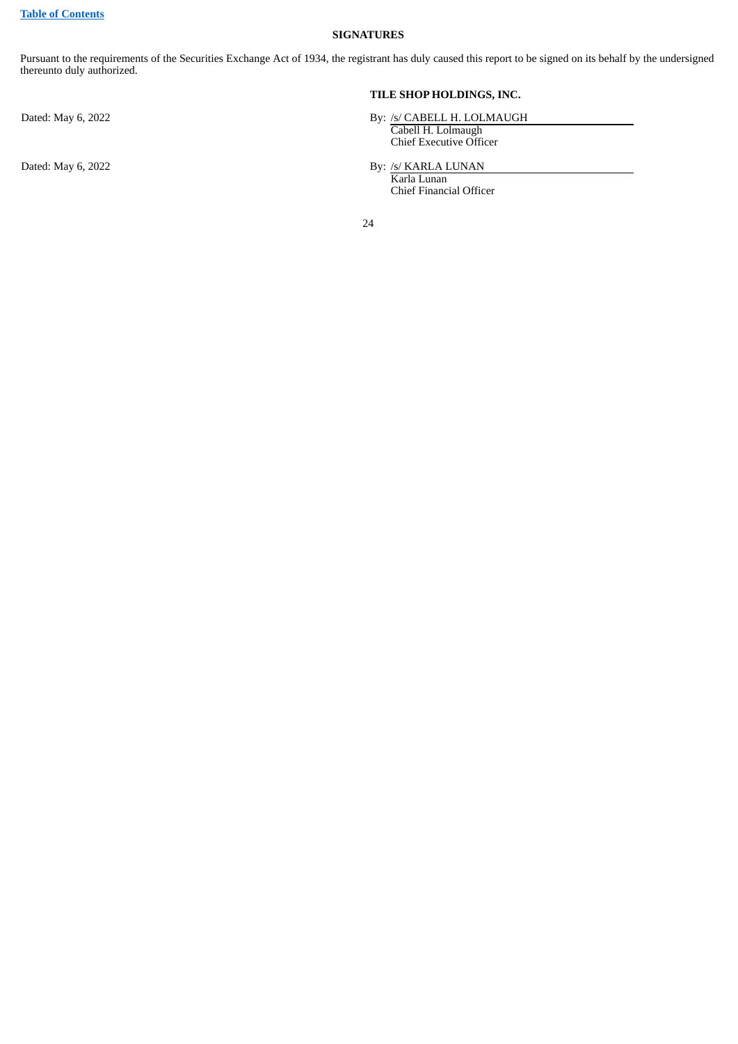### **SIGNATURES**

Pursuant to the requirements of the Securities Exchange Act of 1934, the registrant has duly caused this report to be signed on its behalf by the undersigned thereunto duly authorized.

## **TILE SHOP HOLDINGS, INC.**

Dated: May 6, 2022 **By:** /s/ CABELL H. LOLMAUGH

Cabell H. Lolmaugh Chief Executive Officer

Dated: May 6, 2022 By: /s/ KARLA LUNAN Karla Lunan Chief Financial Officer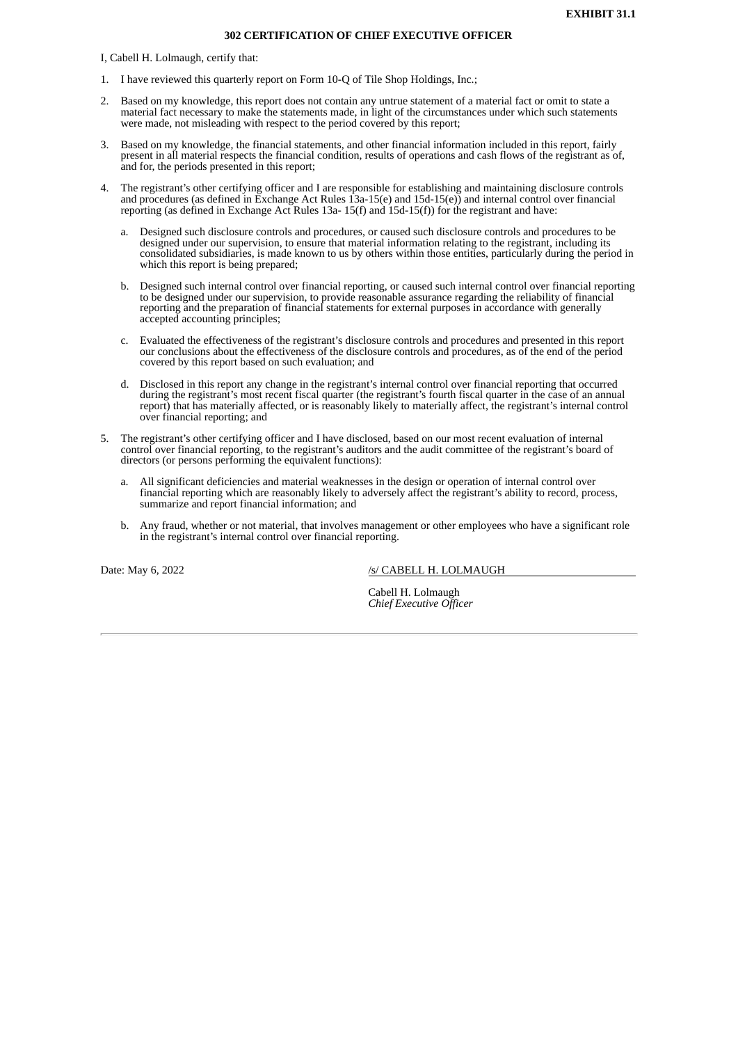## **302 CERTIFICATION OF CHIEF EXECUTIVE OFFICER**

<span id="page-24-0"></span>I, Cabell H. Lolmaugh, certify that:

- 1. I have reviewed this quarterly report on Form 10-Q of Tile Shop Holdings, Inc.;
- 2. Based on my knowledge, this report does not contain any untrue statement of a material fact or omit to state a material fact necessary to make the statements made, in light of the circumstances under which such statements were made, not misleading with respect to the period covered by this report;
- 3. Based on my knowledge, the financial statements, and other financial information included in this report, fairly present in all material respects the financial condition, results of operations and cash flows of the registrant as of, and for, the periods presented in this report;
- 4. The registrant's other certifying officer and I are responsible for establishing and maintaining disclosure controls and procedures (as defined in Exchange Act Rules 13a-15(e) and 15d-15(e)) and internal control over financial reporting (as defined in Exchange Act Rules 13a- 15(f) and 15d-15(f)) for the registrant and have:
	- a. Designed such disclosure controls and procedures, or caused such disclosure controls and procedures to be designed under our supervision, to ensure that material information relating to the registrant, including its consolidated subsidiaries, is made known to us by others within those entities, particularly during the period in which this report is being prepared;
	- b. Designed such internal control over financial reporting, or caused such internal control over financial reporting to be designed under our supervision, to provide reasonable assurance regarding the reliability of financial reporting and the preparation of financial statements for external purposes in accordance with generally accepted accounting principles;
	- c. Evaluated the effectiveness of the registrant's disclosure controls and procedures and presented in this report our conclusions about the effectiveness of the disclosure controls and procedures, as of the end of the period covered by this report based on such evaluation; and
	- d. Disclosed in this report any change in the registrant's internal control over financial reporting that occurred during the registrant's most recent fiscal quarter (the registrant's fourth fiscal quarter in the case of an annual report) that has materially affected, or is reasonably likely to materially affect, the registrant's internal control over financial reporting; and
- 5. The registrant's other certifying officer and I have disclosed, based on our most recent evaluation of internal control over financial reporting, to the registrant's auditors and the audit committee of the registrant's board of directors (or persons performing the equivalent functions):
	- All significant deficiencies and material weaknesses in the design or operation of internal control over financial reporting which are reasonably likely to adversely affect the registrant's ability to record, process, summarize and report financial information; and
	- b. Any fraud, whether or not material, that involves management or other employees who have a significant role in the registrant's internal control over financial reporting.

Date: May 6, 2022 /s/ CABELL H. LOLMAUGH

Cabell H. Lolmaugh *Chief Executive Officer*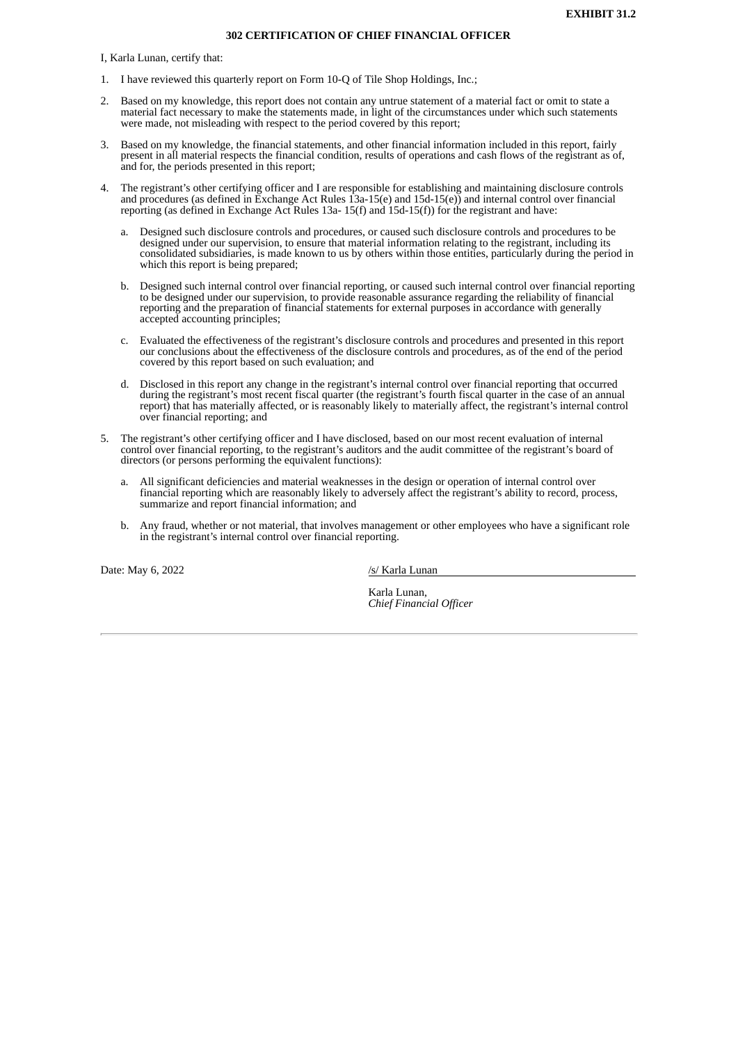## **302 CERTIFICATION OF CHIEF FINANCIAL OFFICER**

<span id="page-25-0"></span>I, Karla Lunan, certify that:

- 1. I have reviewed this quarterly report on Form 10-Q of Tile Shop Holdings, Inc.;
- 2. Based on my knowledge, this report does not contain any untrue statement of a material fact or omit to state a material fact necessary to make the statements made, in light of the circumstances under which such statements were made, not misleading with respect to the period covered by this report;
- 3. Based on my knowledge, the financial statements, and other financial information included in this report, fairly present in all material respects the financial condition, results of operations and cash flows of the registrant as of, and for, the periods presented in this report;
- 4. The registrant's other certifying officer and I are responsible for establishing and maintaining disclosure controls and procedures (as defined in Exchange Act Rules 13a-15(e) and 15d-15(e)) and internal control over financial reporting (as defined in Exchange Act Rules 13a- 15(f) and 15d-15(f)) for the registrant and have:
	- a. Designed such disclosure controls and procedures, or caused such disclosure controls and procedures to be designed under our supervision, to ensure that material information relating to the registrant, including its consolidated subsidiaries, is made known to us by others within those entities, particularly during the period in which this report is being prepared;
	- b. Designed such internal control over financial reporting, or caused such internal control over financial reporting to be designed under our supervision, to provide reasonable assurance regarding the reliability of financial reporting and the preparation of financial statements for external purposes in accordance with generally accepted accounting principles;
	- c. Evaluated the effectiveness of the registrant's disclosure controls and procedures and presented in this report our conclusions about the effectiveness of the disclosure controls and procedures, as of the end of the period covered by this report based on such evaluation; and
	- d. Disclosed in this report any change in the registrant's internal control over financial reporting that occurred during the registrant's most recent fiscal quarter (the registrant's fourth fiscal quarter in the case of an annual report) that has materially affected, or is reasonably likely to materially affect, the registrant's internal control over financial reporting; and
- 5. The registrant's other certifying officer and I have disclosed, based on our most recent evaluation of internal control over financial reporting, to the registrant's auditors and the audit committee of the registrant's board of directors (or persons performing the equivalent functions):
	- All significant deficiencies and material weaknesses in the design or operation of internal control over financial reporting which are reasonably likely to adversely affect the registrant's ability to record, process, summarize and report financial information; and
	- b. Any fraud, whether or not material, that involves management or other employees who have a significant role in the registrant's internal control over financial reporting.

Date: May 6, 2022 /s/ Karla Lunan

Karla Lunan, *Chief Financial Officer*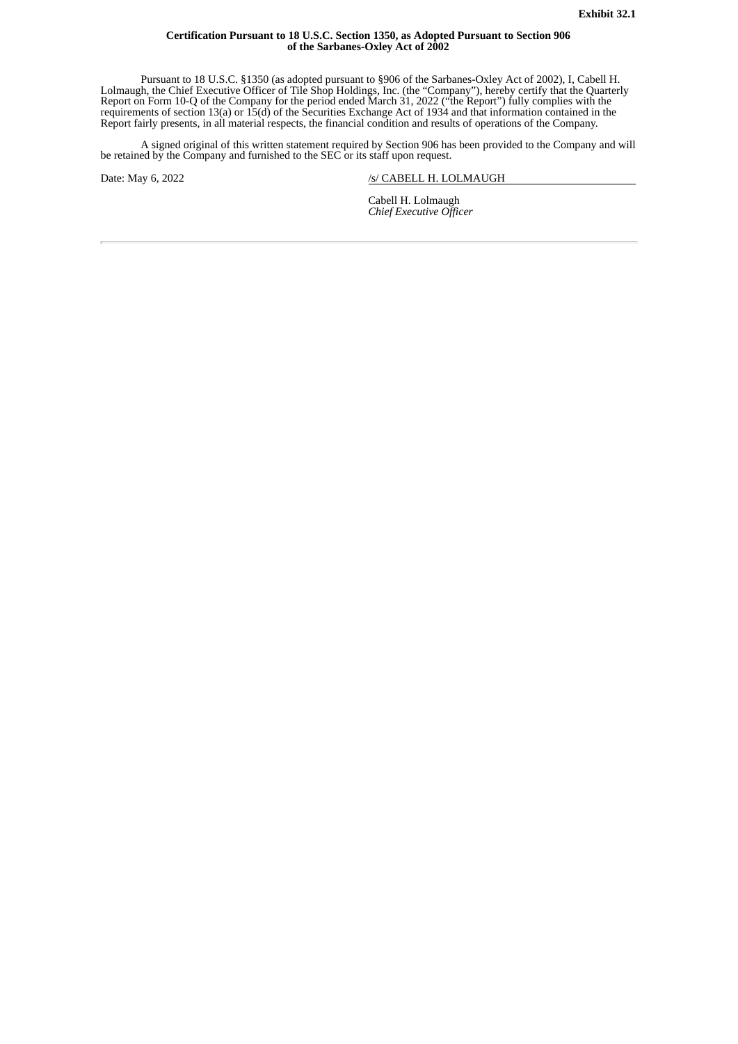#### **Certification Pursuant to 18 U.S.C. Section 1350, as Adopted Pursuant to Section 906 of the Sarbanes-Oxley Act of 2002**

<span id="page-26-0"></span>Pursuant to 18 U.S.C. §1350 (as adopted pursuant to §906 of the Sarbanes-Oxley Act of 2002), I, Cabell H. Lolmaugh, the Chief Executive Officer of Tile Shop Holdings, Inc. (the "Company"), hereby certify that the Quarterly Report on Form 10-Q of the Company for the period ended March 31, 2022 ("the Report") fully complies with the requirements of section 13(a) or 15(d) of the Securities Exchange Act of 1934 and that information contained in the Report fairly presents, in all material respects, the financial condition and results of operations of the Company.

A signed original of this written statement required by Section 906 has been provided to the Company and will be retained by the Company and furnished to the SEC or its staff upon request.

Date: May 6, 2022 /s/ CABELL H. LOLMAUGH

Cabell H. Lolmaugh *Chief Executive Officer*